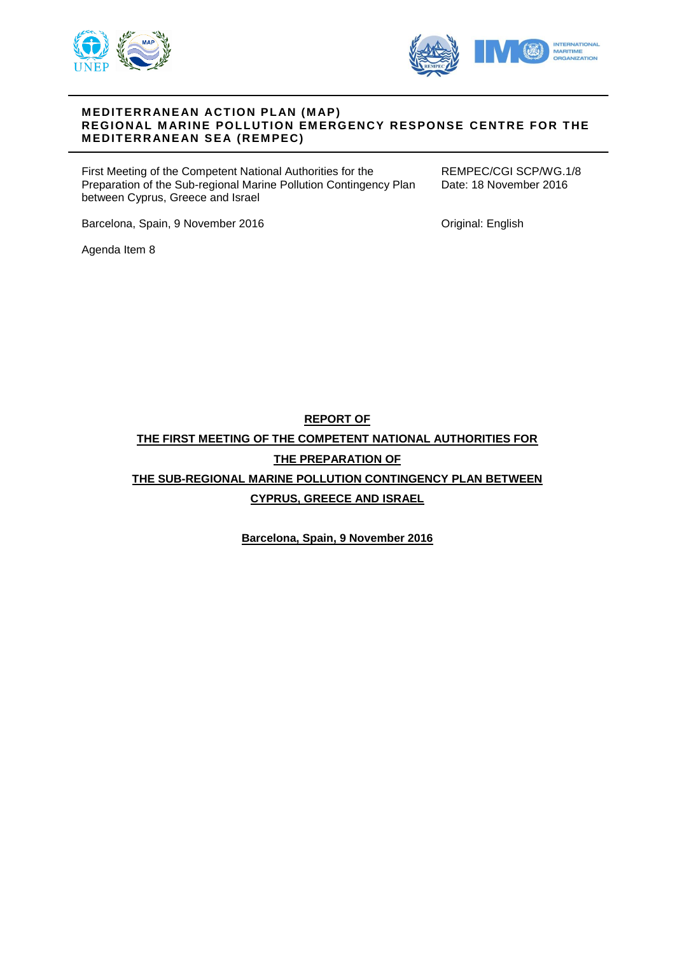



## **M EDIT ERR ANE AN ACT ION PL AN (M AP) REGIONAL MARINE POLLUTION EMERGENCY RESPONSE CENTRE FOR THE MEDITERRANEAN SEA (REMPEC)**

First Meeting of the Competent National Authorities for the Preparation of the Sub-regional Marine Pollution Contingency Plan between Cyprus, Greece and Israel

REMPEC/CGI SCP/WG.1/8 Date: 18 November 2016

Barcelona, Spain, 9 November 2016

Original: English

Agenda Item 8

**REPORT OF THE FIRST MEETING OF THE COMPETENT NATIONAL AUTHORITIES FOR THE PREPARATION OF THE SUB-REGIONAL MARINE POLLUTION CONTINGENCY PLAN BETWEEN CYPRUS, GREECE AND ISRAEL**

**Barcelona, Spain, 9 November 2016**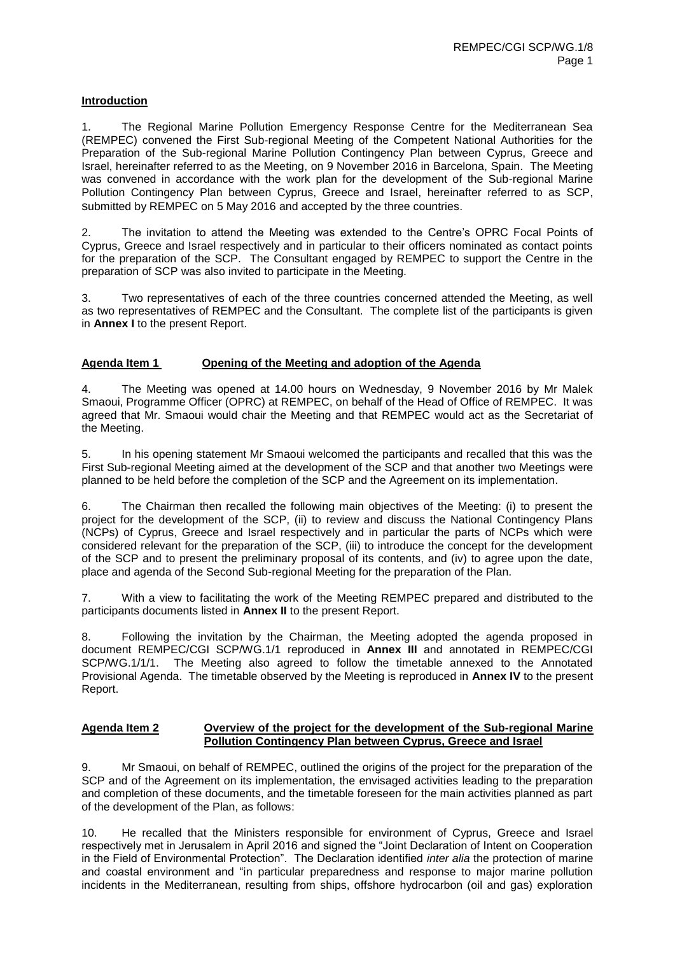## **Introduction**

1. The Regional Marine Pollution Emergency Response Centre for the Mediterranean Sea (REMPEC) convened the First Sub-regional Meeting of the Competent National Authorities for the Preparation of the Sub-regional Marine Pollution Contingency Plan between Cyprus, Greece and Israel, hereinafter referred to as the Meeting, on 9 November 2016 in Barcelona, Spain. The Meeting was convened in accordance with the work plan for the development of the Sub-regional Marine Pollution Contingency Plan between Cyprus, Greece and Israel, hereinafter referred to as SCP, submitted by REMPEC on 5 May 2016 and accepted by the three countries.

2. The invitation to attend the Meeting was extended to the Centre's OPRC Focal Points of Cyprus, Greece and Israel respectively and in particular to their officers nominated as contact points for the preparation of the SCP. The Consultant engaged by REMPEC to support the Centre in the preparation of SCP was also invited to participate in the Meeting.

3. Two representatives of each of the three countries concerned attended the Meeting, as well as two representatives of REMPEC and the Consultant. The complete list of the participants is given in **Annex I** to the present Report.

## **Agenda Item 1 Opening of the Meeting and adoption of the Agenda**

4. The Meeting was opened at 14.00 hours on Wednesday, 9 November 2016 by Mr Malek Smaoui, Programme Officer (OPRC) at REMPEC, on behalf of the Head of Office of REMPEC. It was agreed that Mr. Smaoui would chair the Meeting and that REMPEC would act as the Secretariat of the Meeting.

5. In his opening statement Mr Smaoui welcomed the participants and recalled that this was the First Sub-regional Meeting aimed at the development of the SCP and that another two Meetings were planned to be held before the completion of the SCP and the Agreement on its implementation.

6. The Chairman then recalled the following main objectives of the Meeting: (i) to present the project for the development of the SCP, (ii) to review and discuss the National Contingency Plans (NCPs) of Cyprus, Greece and Israel respectively and in particular the parts of NCPs which were considered relevant for the preparation of the SCP, (iii) to introduce the concept for the development of the SCP and to present the preliminary proposal of its contents, and (iv) to agree upon the date, place and agenda of the Second Sub-regional Meeting for the preparation of the Plan.

7. With a view to facilitating the work of the Meeting REMPEC prepared and distributed to the participants documents listed in **Annex II** to the present Report.

8. Following the invitation by the Chairman, the Meeting adopted the agenda proposed in document REMPEC/CGI SCP/WG.1/1 reproduced in **Annex III** and annotated in REMPEC/CGI SCP/WG.1/1/1. The Meeting also agreed to follow the timetable annexed to the Annotated Provisional Agenda. The timetable observed by the Meeting is reproduced in **Annex IV** to the present Report.

#### **Agenda Item 2 Overview of the project for the development of the Sub-regional Marine Pollution Contingency Plan between Cyprus, Greece and Israel**

9. Mr Smaoui, on behalf of REMPEC, outlined the origins of the project for the preparation of the SCP and of the Agreement on its implementation, the envisaged activities leading to the preparation and completion of these documents, and the timetable foreseen for the main activities planned as part of the development of the Plan, as follows:

10. He recalled that the Ministers responsible for environment of Cyprus, Greece and Israel respectively met in Jerusalem in April 2016 and signed the "Joint Declaration of Intent on Cooperation in the Field of Environmental Protection". The Declaration identified *inter alia* the protection of marine and coastal environment and "in particular preparedness and response to major marine pollution incidents in the Mediterranean, resulting from ships, offshore hydrocarbon (oil and gas) exploration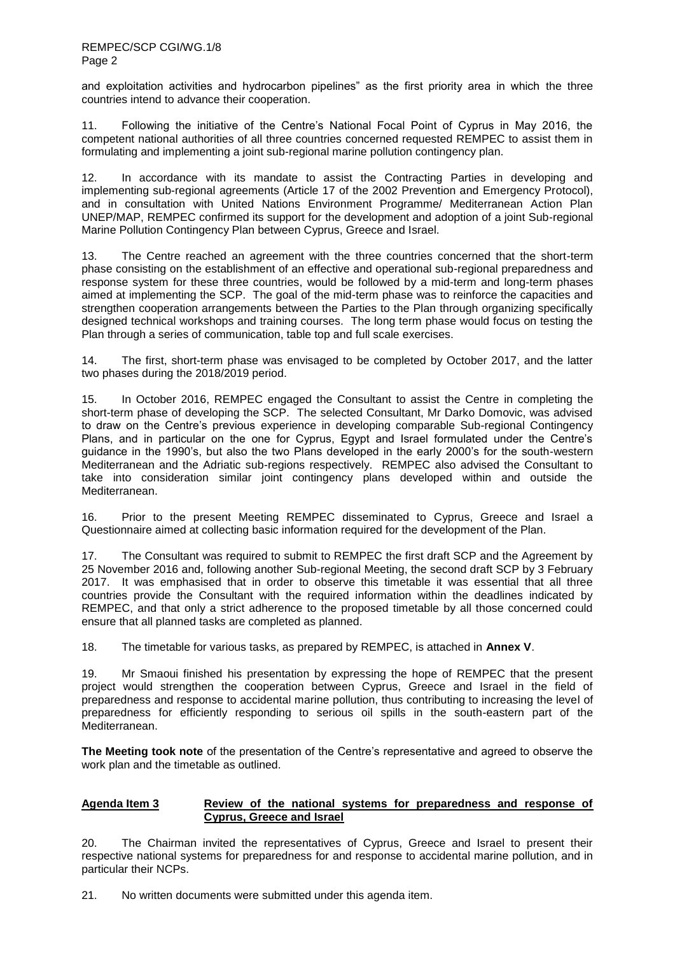and exploitation activities and hydrocarbon pipelines" as the first priority area in which the three countries intend to advance their cooperation.

11. Following the initiative of the Centre's National Focal Point of Cyprus in May 2016, the competent national authorities of all three countries concerned requested REMPEC to assist them in formulating and implementing a joint sub-regional marine pollution contingency plan.

In accordance with its mandate to assist the Contracting Parties in developing and implementing sub-regional agreements (Article 17 of the 2002 Prevention and Emergency Protocol), and in consultation with United Nations Environment Programme/ Mediterranean Action Plan UNEP/MAP, REMPEC confirmed its support for the development and adoption of a joint Sub-regional Marine Pollution Contingency Plan between Cyprus, Greece and Israel.

13. The Centre reached an agreement with the three countries concerned that the short-term phase consisting on the establishment of an effective and operational sub-regional preparedness and response system for these three countries, would be followed by a mid-term and long-term phases aimed at implementing the SCP. The goal of the mid-term phase was to reinforce the capacities and strengthen cooperation arrangements between the Parties to the Plan through organizing specifically designed technical workshops and training courses. The long term phase would focus on testing the Plan through a series of communication, table top and full scale exercises.

14. The first, short-term phase was envisaged to be completed by October 2017, and the latter two phases during the 2018/2019 period.

15. In October 2016, REMPEC engaged the Consultant to assist the Centre in completing the short-term phase of developing the SCP. The selected Consultant, Mr Darko Domovic, was advised to draw on the Centre's previous experience in developing comparable Sub-regional Contingency Plans, and in particular on the one for Cyprus, Egypt and Israel formulated under the Centre's guidance in the 1990's, but also the two Plans developed in the early 2000's for the south-western Mediterranean and the Adriatic sub-regions respectively. REMPEC also advised the Consultant to take into consideration similar joint contingency plans developed within and outside the Mediterranean.

16. Prior to the present Meeting REMPEC disseminated to Cyprus, Greece and Israel a Questionnaire aimed at collecting basic information required for the development of the Plan.

17. The Consultant was required to submit to REMPEC the first draft SCP and the Agreement by 25 November 2016 and, following another Sub-regional Meeting, the second draft SCP by 3 February 2017. It was emphasised that in order to observe this timetable it was essential that all three countries provide the Consultant with the required information within the deadlines indicated by REMPEC, and that only a strict adherence to the proposed timetable by all those concerned could ensure that all planned tasks are completed as planned.

18. The timetable for various tasks, as prepared by REMPEC, is attached in **Annex V**.

19. Mr Smaoui finished his presentation by expressing the hope of REMPEC that the present project would strengthen the cooperation between Cyprus, Greece and Israel in the field of preparedness and response to accidental marine pollution, thus contributing to increasing the level of preparedness for efficiently responding to serious oil spills in the south-eastern part of the Mediterranean.

**The Meeting took note** of the presentation of the Centre's representative and agreed to observe the work plan and the timetable as outlined.

## **Agenda Item 3 Review of the national systems for preparedness and response of Cyprus, Greece and Israel**

20. The Chairman invited the representatives of Cyprus, Greece and Israel to present their respective national systems for preparedness for and response to accidental marine pollution, and in particular their NCPs.

21. No written documents were submitted under this agenda item.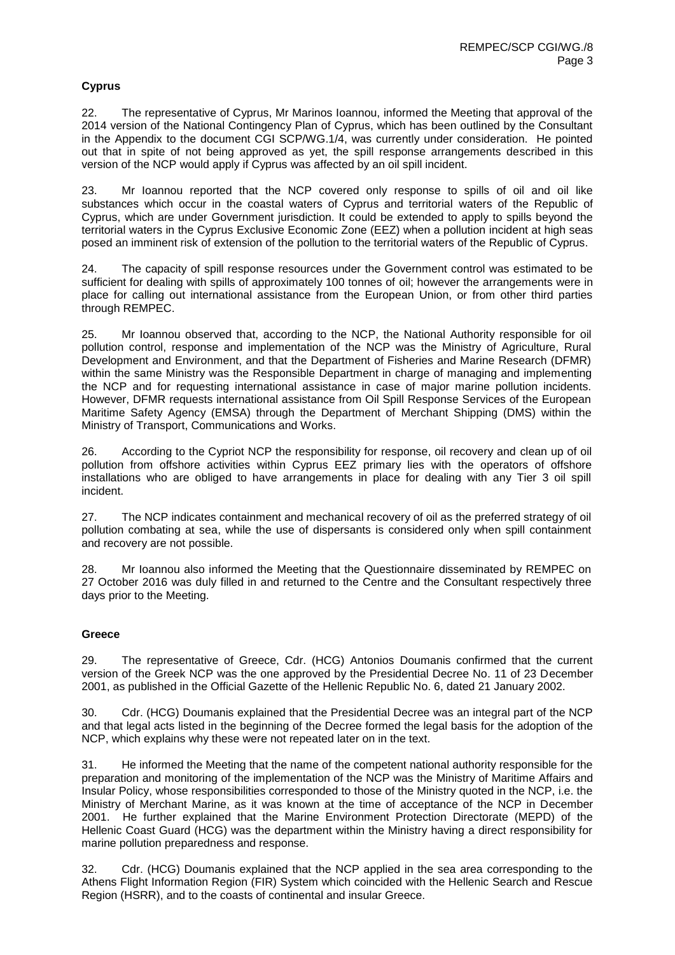# **Cyprus**

22. The representative of Cyprus, Mr Marinos Ioannou, informed the Meeting that approval of the 2014 version of the National Contingency Plan of Cyprus, which has been outlined by the Consultant in the Appendix to the document CGI SCP/WG.1/4, was currently under consideration. He pointed out that in spite of not being approved as yet, the spill response arrangements described in this version of the NCP would apply if Cyprus was affected by an oil spill incident.

23. Mr Ioannou reported that the NCP covered only response to spills of oil and oil like substances which occur in the coastal waters of Cyprus and territorial waters of the Republic of Cyprus, which are under Government jurisdiction. It could be extended to apply to spills beyond the territorial waters in the Cyprus Exclusive Economic Zone (EEZ) when a pollution incident at high seas posed an imminent risk of extension of the pollution to the territorial waters of the Republic of Cyprus.

24. The capacity of spill response resources under the Government control was estimated to be sufficient for dealing with spills of approximately 100 tonnes of oil; however the arrangements were in place for calling out international assistance from the European Union, or from other third parties through REMPEC.

25. Mr Ioannou observed that, according to the NCP, the National Authority responsible for oil pollution control, response and implementation of the NCP was the Ministry of Agriculture, Rural Development and Environment, and that the Department of Fisheries and Marine Research (DFMR) within the same Ministry was the Responsible Department in charge of managing and implementing the NCP and for requesting international assistance in case of major marine pollution incidents. However, DFMR requests international assistance from Oil Spill Response Services of the European Maritime Safety Agency (EMSA) through the Department of Merchant Shipping (DMS) within the Ministry of Transport, Communications and Works.

26. According to the Cypriot NCP the responsibility for response, oil recovery and clean up of oil pollution from offshore activities within Cyprus EEZ primary lies with the operators of offshore installations who are obliged to have arrangements in place for dealing with any Tier 3 oil spill incident.

27. The NCP indicates containment and mechanical recovery of oil as the preferred strategy of oil pollution combating at sea, while the use of dispersants is considered only when spill containment and recovery are not possible.

28. Mr Ioannou also informed the Meeting that the Questionnaire disseminated by REMPEC on 27 October 2016 was duly filled in and returned to the Centre and the Consultant respectively three days prior to the Meeting.

## **Greece**

29. The representative of Greece, Cdr. (HCG) Antonios Doumanis confirmed that the current version of the Greek NCP was the one approved by the Presidential Decree No. 11 of 23 December 2001, as published in the Official Gazette of the Hellenic Republic No. 6, dated 21 January 2002.

30. Cdr. (HCG) Doumanis explained that the Presidential Decree was an integral part of the NCP and that legal acts listed in the beginning of the Decree formed the legal basis for the adoption of the NCP, which explains why these were not repeated later on in the text.

31. He informed the Meeting that the name of the competent national authority responsible for the preparation and monitoring of the implementation of the NCP was the Ministry of Maritime Affairs and Insular Policy, whose responsibilities corresponded to those of the Ministry quoted in the NCP, i.e. the Ministry of Merchant Marine, as it was known at the time of acceptance of the NCP in December 2001. He further explained that the Marine Environment Protection Directorate (MEPD) of the Hellenic Coast Guard (HCG) was the department within the Ministry having a direct responsibility for marine pollution preparedness and response.

32. Cdr. (HCG) Doumanis explained that the NCP applied in the sea area corresponding to the Athens Flight Information Region (FIR) System which coincided with the Hellenic Search and Rescue Region (HSRR), and to the coasts of continental and insular Greece.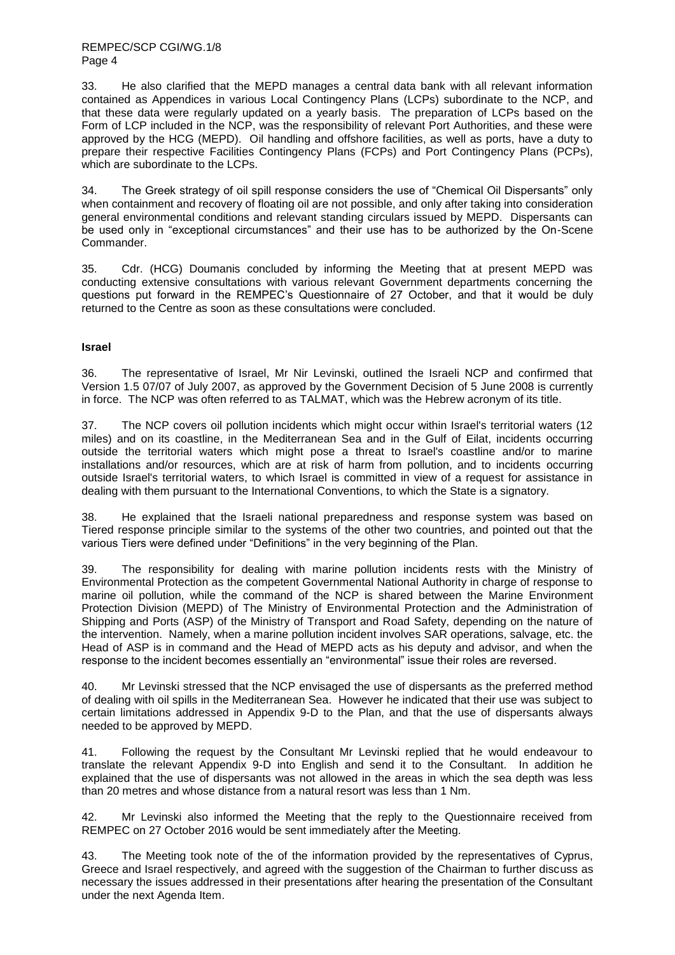33. He also clarified that the MEPD manages a central data bank with all relevant information contained as Appendices in various Local Contingency Plans (LCPs) subordinate to the NCP, and that these data were regularly updated on a yearly basis. The preparation of LCPs based on the Form of LCP included in the NCP, was the responsibility of relevant Port Authorities, and these were approved by the HCG (MEPD). Oil handling and offshore facilities, as well as ports, have a duty to prepare their respective Facilities Contingency Plans (FCPs) and Port Contingency Plans (PCPs), which are subordinate to the LCPs.

34. The Greek strategy of oil spill response considers the use of "Chemical Oil Dispersants" only when containment and recovery of floating oil are not possible, and only after taking into consideration general environmental conditions and relevant standing circulars issued by MEPD. Dispersants can be used only in "exceptional circumstances" and their use has to be authorized by the On-Scene Commander.

35. Cdr. (HCG) Doumanis concluded by informing the Meeting that at present MEPD was conducting extensive consultations with various relevant Government departments concerning the questions put forward in the REMPEC's Questionnaire of 27 October, and that it would be duly returned to the Centre as soon as these consultations were concluded.

## **Israel**

36. The representative of Israel, Mr Nir Levinski, outlined the Israeli NCP and confirmed that Version 1.5 07/07 of July 2007, as approved by the Government Decision of 5 June 2008 is currently in force. The NCP was often referred to as TALMAT, which was the Hebrew acronym of its title.

37. The NCP covers oil pollution incidents which might occur within Israel's territorial waters (12 miles) and on its coastline, in the Mediterranean Sea and in the Gulf of Eilat, incidents occurring outside the territorial waters which might pose a threat to Israel's coastline and/or to marine installations and/or resources, which are at risk of harm from pollution, and to incidents occurring outside Israel's territorial waters, to which Israel is committed in view of a request for assistance in dealing with them pursuant to the International Conventions, to which the State is a signatory.

38. He explained that the Israeli national preparedness and response system was based on Tiered response principle similar to the systems of the other two countries, and pointed out that the various Tiers were defined under "Definitions" in the very beginning of the Plan.

39. The responsibility for dealing with marine pollution incidents rests with the Ministry of Environmental Protection as the competent Governmental National Authority in charge of response to marine oil pollution, while the command of the NCP is shared between the Marine Environment Protection Division (MEPD) of The Ministry of Environmental Protection and the Administration of Shipping and Ports (ASP) of the Ministry of Transport and Road Safety, depending on the nature of the intervention. Namely, when a marine pollution incident involves SAR operations, salvage, etc. the Head of ASP is in command and the Head of MEPD acts as his deputy and advisor, and when the response to the incident becomes essentially an "environmental" issue their roles are reversed.

40. Mr Levinski stressed that the NCP envisaged the use of dispersants as the preferred method of dealing with oil spills in the Mediterranean Sea. However he indicated that their use was subject to certain limitations addressed in Appendix 9-D to the Plan, and that the use of dispersants always needed to be approved by MEPD.

41. Following the request by the Consultant Mr Levinski replied that he would endeavour to translate the relevant Appendix 9-D into English and send it to the Consultant. In addition he explained that the use of dispersants was not allowed in the areas in which the sea depth was less than 20 metres and whose distance from a natural resort was less than 1 Nm.

42. Mr Levinski also informed the Meeting that the reply to the Questionnaire received from REMPEC on 27 October 2016 would be sent immediately after the Meeting.

43. The Meeting took note of the of the information provided by the representatives of Cyprus, Greece and Israel respectively, and agreed with the suggestion of the Chairman to further discuss as necessary the issues addressed in their presentations after hearing the presentation of the Consultant under the next Agenda Item.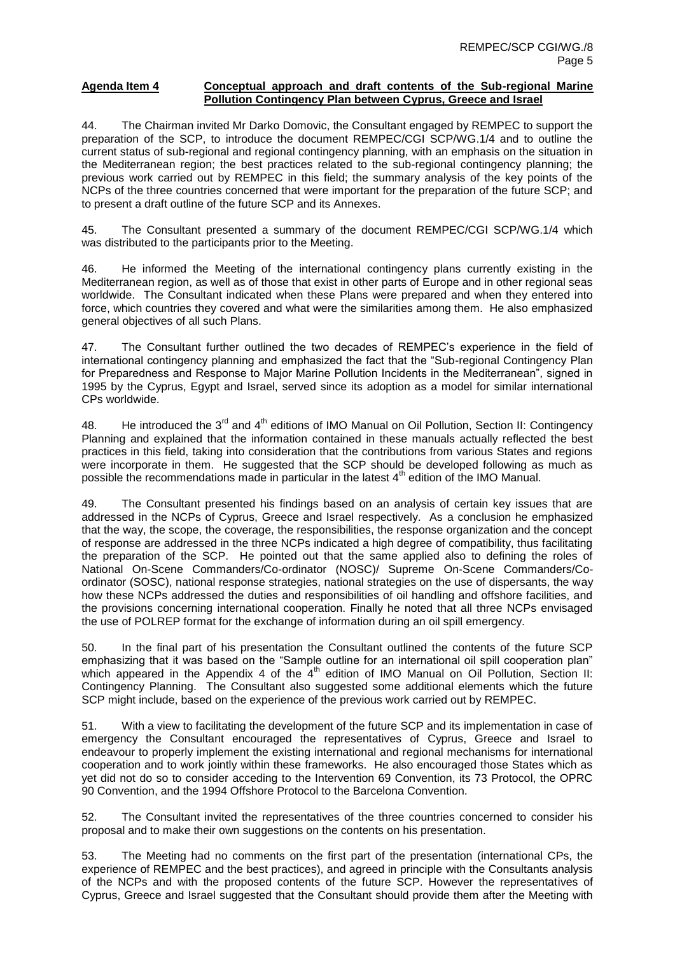#### **Agenda Item 4 Conceptual approach and draft contents of the Sub-regional Marine Pollution Contingency Plan between Cyprus, Greece and Israel**

44. The Chairman invited Mr Darko Domovic, the Consultant engaged by REMPEC to support the preparation of the SCP, to introduce the document REMPEC/CGI SCP/WG.1/4 and to outline the current status of sub-regional and regional contingency planning, with an emphasis on the situation in the Mediterranean region; the best practices related to the sub-regional contingency planning; the previous work carried out by REMPEC in this field; the summary analysis of the key points of the NCPs of the three countries concerned that were important for the preparation of the future SCP; and to present a draft outline of the future SCP and its Annexes.

45. The Consultant presented a summary of the document REMPEC/CGI SCP/WG.1/4 which was distributed to the participants prior to the Meeting.

46. He informed the Meeting of the international contingency plans currently existing in the Mediterranean region, as well as of those that exist in other parts of Europe and in other regional seas worldwide. The Consultant indicated when these Plans were prepared and when they entered into force, which countries they covered and what were the similarities among them. He also emphasized general objectives of all such Plans.

47. The Consultant further outlined the two decades of REMPEC's experience in the field of international contingency planning and emphasized the fact that the "Sub-regional Contingency Plan for Preparedness and Response to Major Marine Pollution Incidents in the Mediterranean", signed in 1995 by the Cyprus, Egypt and Israel, served since its adoption as a model for similar international CPs worldwide.

48. He introduced the  $3^{rd}$  and  $4^{th}$  editions of IMO Manual on Oil Pollution, Section II: Contingency Planning and explained that the information contained in these manuals actually reflected the best practices in this field, taking into consideration that the contributions from various States and regions were incorporate in them. He suggested that the SCP should be developed following as much as possible the recommendations made in particular in the latest 4<sup>th</sup> edition of the IMO Manual.

49. The Consultant presented his findings based on an analysis of certain key issues that are addressed in the NCPs of Cyprus, Greece and Israel respectively. As a conclusion he emphasized that the way, the scope, the coverage, the responsibilities, the response organization and the concept of response are addressed in the three NCPs indicated a high degree of compatibility, thus facilitating the preparation of the SCP. He pointed out that the same applied also to defining the roles of National On-Scene Commanders/Co-ordinator (NOSC)/ Supreme On-Scene Commanders/Coordinator (SOSC), national response strategies, national strategies on the use of dispersants, the way how these NCPs addressed the duties and responsibilities of oil handling and offshore facilities, and the provisions concerning international cooperation. Finally he noted that all three NCPs envisaged the use of POLREP format for the exchange of information during an oil spill emergency.

50. In the final part of his presentation the Consultant outlined the contents of the future SCP emphasizing that it was based on the "Sample outline for an international oil spill cooperation plan" which appeared in the Appendix 4 of the 4<sup>th</sup> edition of IMO Manual on Oil Pollution, Section II: Contingency Planning. The Consultant also suggested some additional elements which the future SCP might include, based on the experience of the previous work carried out by REMPEC.

51. With a view to facilitating the development of the future SCP and its implementation in case of emergency the Consultant encouraged the representatives of Cyprus, Greece and Israel to endeavour to properly implement the existing international and regional mechanisms for international cooperation and to work jointly within these frameworks. He also encouraged those States which as yet did not do so to consider acceding to the Intervention 69 Convention, its 73 Protocol, the OPRC 90 Convention, and the 1994 Offshore Protocol to the Barcelona Convention.

52. The Consultant invited the representatives of the three countries concerned to consider his proposal and to make their own suggestions on the contents on his presentation.

53. The Meeting had no comments on the first part of the presentation (international CPs, the experience of REMPEC and the best practices), and agreed in principle with the Consultants analysis of the NCPs and with the proposed contents of the future SCP. However the representatives of Cyprus, Greece and Israel suggested that the Consultant should provide them after the Meeting with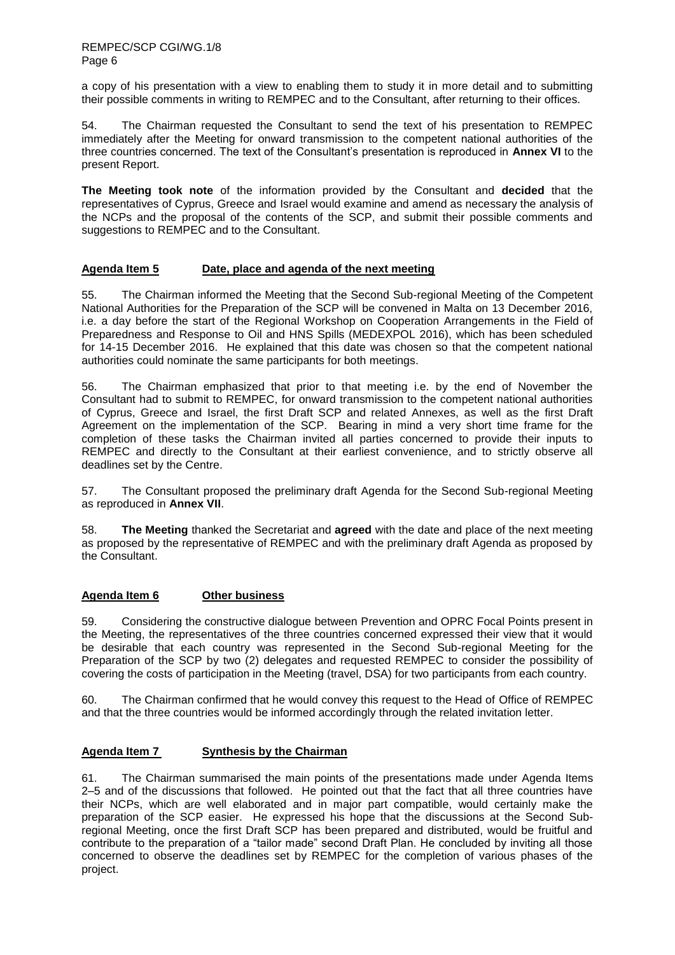a copy of his presentation with a view to enabling them to study it in more detail and to submitting their possible comments in writing to REMPEC and to the Consultant, after returning to their offices.

54. The Chairman requested the Consultant to send the text of his presentation to REMPEC immediately after the Meeting for onward transmission to the competent national authorities of the three countries concerned. The text of the Consultant's presentation is reproduced in **Annex VI** to the present Report.

**The Meeting took note** of the information provided by the Consultant and **decided** that the representatives of Cyprus, Greece and Israel would examine and amend as necessary the analysis of the NCPs and the proposal of the contents of the SCP, and submit their possible comments and suggestions to REMPEC and to the Consultant.

## **Agenda Item 5 Date, place and agenda of the next meeting**

55. The Chairman informed the Meeting that the Second Sub-regional Meeting of the Competent National Authorities for the Preparation of the SCP will be convened in Malta on 13 December 2016, i.e. a day before the start of the Regional Workshop on Cooperation Arrangements in the Field of Preparedness and Response to Oil and HNS Spills (MEDEXPOL 2016), which has been scheduled for 14-15 December 2016. He explained that this date was chosen so that the competent national authorities could nominate the same participants for both meetings.

56. The Chairman emphasized that prior to that meeting i.e. by the end of November the Consultant had to submit to REMPEC, for onward transmission to the competent national authorities of Cyprus, Greece and Israel, the first Draft SCP and related Annexes, as well as the first Draft Agreement on the implementation of the SCP. Bearing in mind a very short time frame for the completion of these tasks the Chairman invited all parties concerned to provide their inputs to REMPEC and directly to the Consultant at their earliest convenience, and to strictly observe all deadlines set by the Centre.

57. The Consultant proposed the preliminary draft Agenda for the Second Sub-regional Meeting as reproduced in **Annex VII**.

58. **The Meeting** thanked the Secretariat and **agreed** with the date and place of the next meeting as proposed by the representative of REMPEC and with the preliminary draft Agenda as proposed by the Consultant.

## **Agenda Item 6 Other business**

59. Considering the constructive dialogue between Prevention and OPRC Focal Points present in the Meeting, the representatives of the three countries concerned expressed their view that it would be desirable that each country was represented in the Second Sub-regional Meeting for the Preparation of the SCP by two (2) delegates and requested REMPEC to consider the possibility of covering the costs of participation in the Meeting (travel, DSA) for two participants from each country.

60. The Chairman confirmed that he would convey this request to the Head of Office of REMPEC and that the three countries would be informed accordingly through the related invitation letter.

# **Agenda Item 7 Synthesis by the Chairman**

61. The Chairman summarised the main points of the presentations made under Agenda Items 2–5 and of the discussions that followed. He pointed out that the fact that all three countries have their NCPs, which are well elaborated and in major part compatible, would certainly make the preparation of the SCP easier. He expressed his hope that the discussions at the Second Subregional Meeting, once the first Draft SCP has been prepared and distributed, would be fruitful and contribute to the preparation of a "tailor made" second Draft Plan. He concluded by inviting all those concerned to observe the deadlines set by REMPEC for the completion of various phases of the project.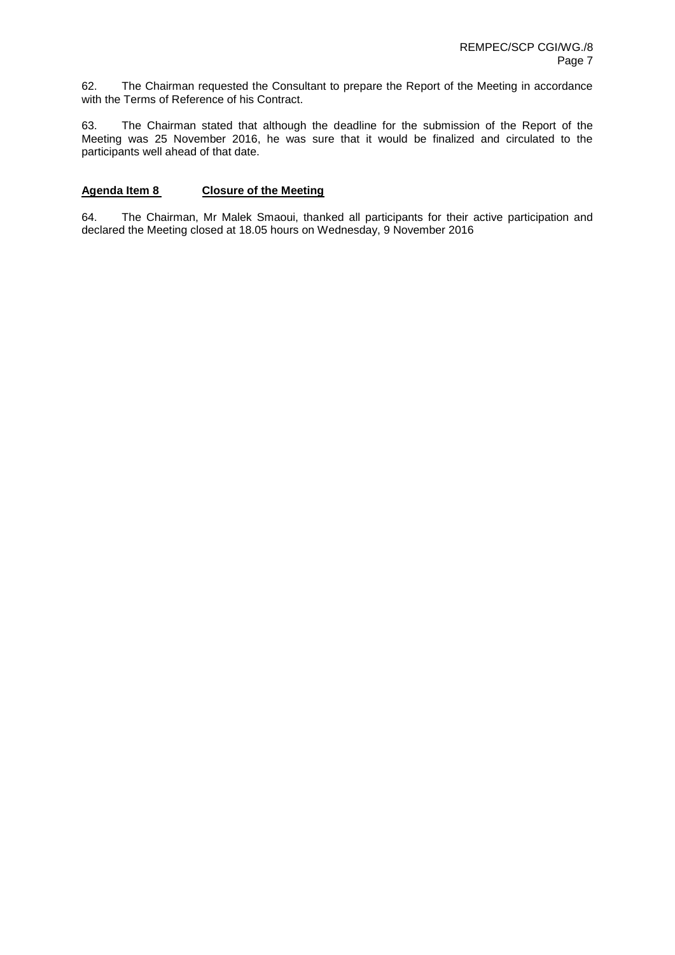62. The Chairman requested the Consultant to prepare the Report of the Meeting in accordance with the Terms of Reference of his Contract.

63. The Chairman stated that although the deadline for the submission of the Report of the Meeting was 25 November 2016, he was sure that it would be finalized and circulated to the participants well ahead of that date.

### **Agenda Item 8 Closure of the Meeting**

64. The Chairman, Mr Malek Smaoui, thanked all participants for their active participation and declared the Meeting closed at 18.05 hours on Wednesday, 9 November 2016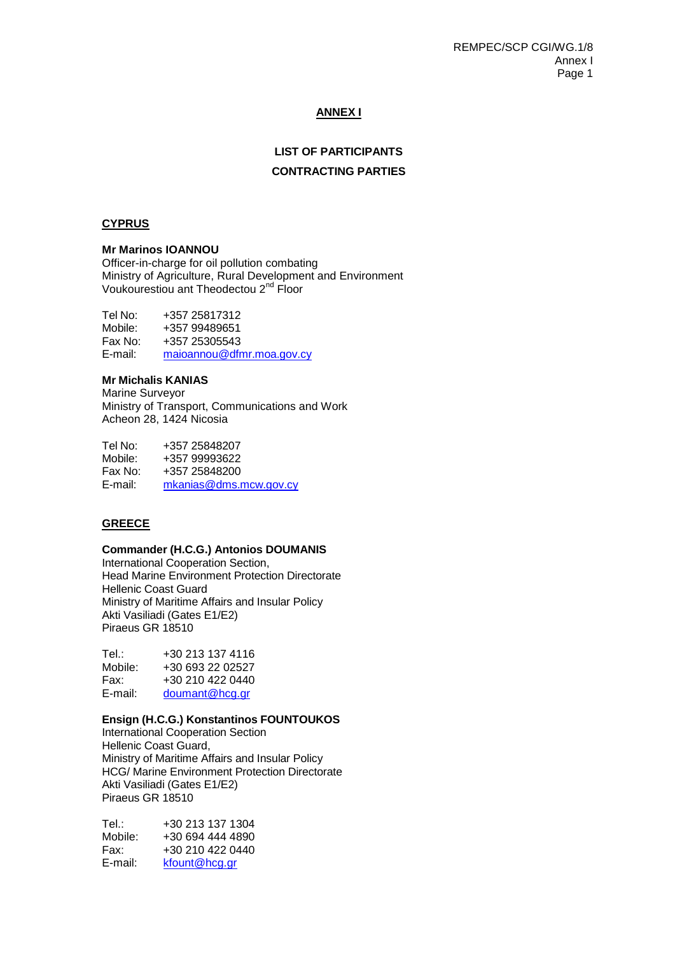REMPEC/SCP CGI/WG.1/8 Annex I Page 1

## **ANNEX I**

## **LIST OF PARTICIPANTS**

#### **CONTRACTING PARTIES**

#### **CYPRUS**

#### **Mr Marinos IOANNOU**

Officer-in-charge for oil pollution combating Ministry of Agriculture, Rural Development and Environment Voukourestiou ant Theodectou 2<sup>nd</sup> Floor

Tel No: +357 25817312 Mobile: +357 99489651<br>Fax No: +357 25305543 Fax No: +357 25305543<br>E-mail: majoannou@dfr [maioannou@dfmr.moa.gov.cy](mailto:maioannou@dfmr.moa.gov.cy)

#### **Mr Michalis KANIAS**

Marine Surveyor Ministry of Transport, Communications and Work Acheon 28, 1424 Nicosia

Tel No: +357 25848207 Mobile: +357 99993622<br>Fax No: +357 25848200 +357 25848200 E-mail: [mkanias@dms.mcw.gov.cy](mailto:mkanias@dms.mcw.gov.cy) 

#### **GREECE**

#### **Commander (H.C.G.) Antonios DOUMANIS**

International Cooperation Section, Head Marine Environment Protection Directorate Hellenic Coast Guard Ministry of Maritime Affairs and Insular Policy Akti Vasiliadi (Gates E1/E2) Piraeus GR 18510

| Tel.∶   | +30 213 137 4116 |
|---------|------------------|
| Mobile: | +30 693 22 02527 |
| Fax:    | +30 210 422 0440 |
| E-mail: | doumant@hcg.gr   |

#### **Ensign (H.C.G.) Konstantinos FOUNTOUKOS**

International Cooperation Section Hellenic Coast Guard, Ministry of Maritime Affairs and Insular Policy HCG/ Marine Environment Protection Directorate Akti Vasiliadi (Gates E1/E2) Piraeus GR 18510

| Tel∴    | +30 213 137 1304 |
|---------|------------------|
| Mobile: | +30 694 444 4890 |
| Fax:    | +30 210 422 0440 |
| E-mail: | kfount@hcg.gr    |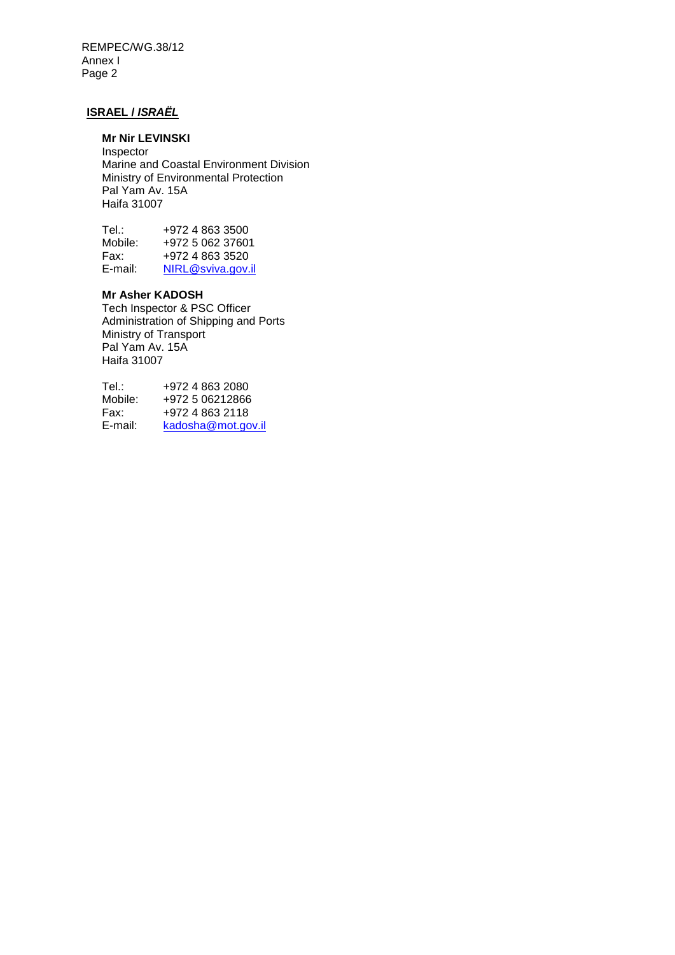REMPEC/WG.38/12 Annex I Page 2

# **ISRAEL /** *ISRAËL*

# **Mr Nir LEVINSKI**

Inspector Marine and Coastal Environment Division Ministry of Environmental Protection Pal Yam Av. 15A Haifa 31007

| Tel∴    | +972 4 863 3500   |
|---------|-------------------|
| Mobile: | +972 5 062 37601  |
| Fax:    | +972 4 863 3520   |
| E-mail: | NIRL@sviva.gov.il |

# **Mr Asher KADOSH**

Tech Inspector & PSC Officer Administration of Shipping and Ports Ministry of Transport Pal Yam Av. 15A Haifa 31007

Tel.: +972 4 863 2080<br>Mobile: +972 5 06212866 Mobile: +972 5 06212866<br>Fax: +972 4 863 2118 Fax: +972 4 863 2118<br>E-mail: kadosha@mot.go [kadosha@mot.gov.il](mailto:kadosha@mot.gov.il)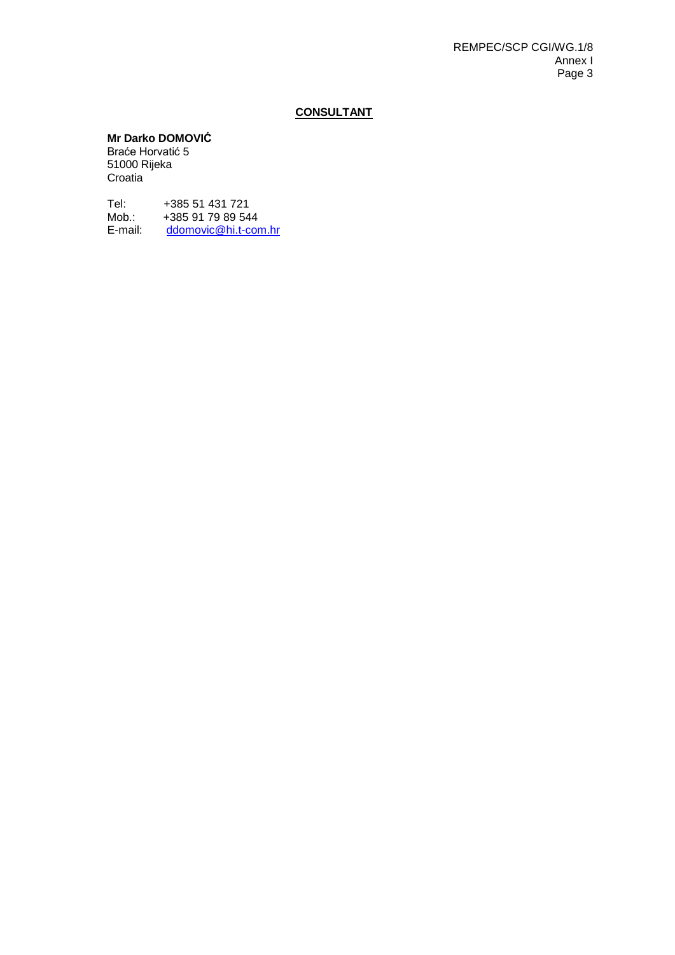# **CONSULTANT**

# **Mr Darko DOMOVIĆ**

Braće Horvatić 5 51000 Rijeka Croatia

Tel: +385 51 431 721<br>Mob.: +385 91 79 89 54 Mob.: +385 91 79 89 544<br>E-mail: ddomovic@hi.t-cor [ddomovic@hi.t-com.hr](mailto:ddomovic@hi.t-com.hr)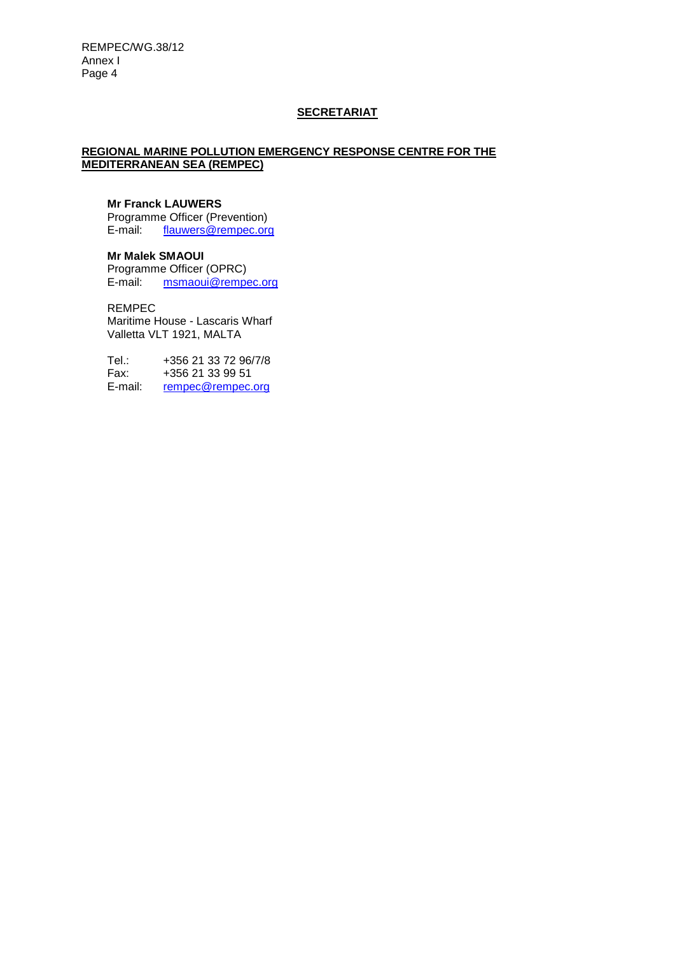# **SECRETARIAT**

## **REGIONAL MARINE POLLUTION EMERGENCY RESPONSE CENTRE FOR THE MEDITERRANEAN SEA (REMPEC)**

# **Mr Franck LAUWERS**

Programme Officer (Prevention)<br>E-mail: flauwers@rempec.org [flauwers@rempec.org](mailto:flauwers@rempec.org)

**Mr Malek SMAOUI**  Programme Officer (OPRC)<br>E-mail: msmaoui@rempe [msmaoui@rempec.org](mailto:msmaoui@rempec.org)

REMPEC

Maritime House - Lascaris Wharf Valletta VLT 1921, MALTA

Tel.: +356 21 33 72 96/7/8<br>Fax: +356 21 33 99 51 Fax: +356 21 33 99 51<br>E-mail: rempec@rempec. [rempec@rempec.org](mailto:rempec@rempec.org)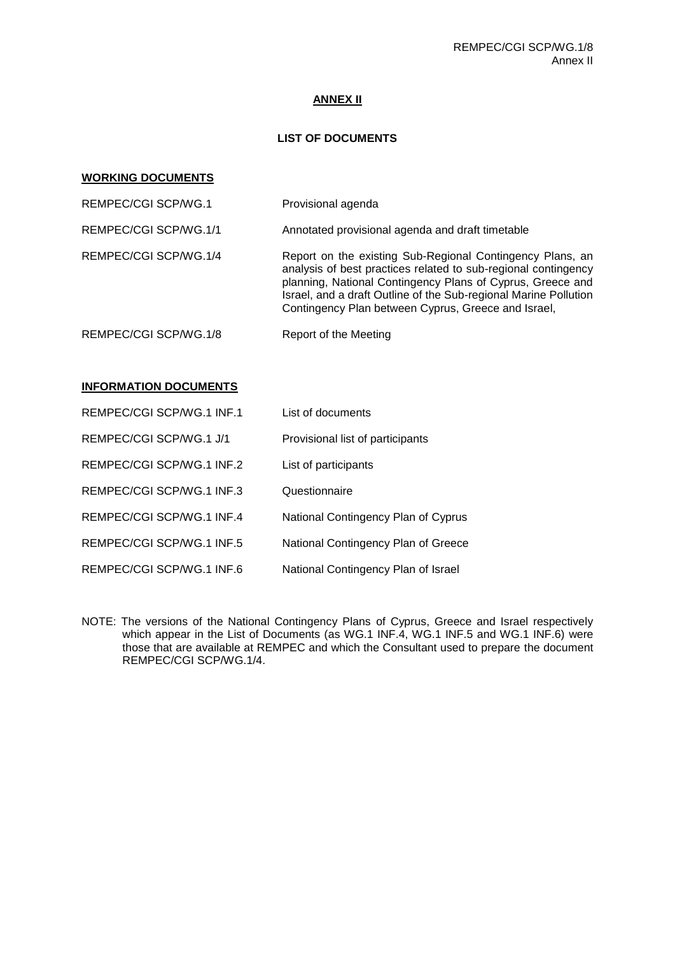## **ANNEX II**

## **LIST OF DOCUMENTS**

#### **WORKING DOCUMENTS**

| REMPEC/CGI SCP/WG.1   | Provisional agenda                                                                                                                                                                                                                                                                                                   |
|-----------------------|----------------------------------------------------------------------------------------------------------------------------------------------------------------------------------------------------------------------------------------------------------------------------------------------------------------------|
| REMPEC/CGI SCP/WG.1/1 | Annotated provisional agenda and draft timetable                                                                                                                                                                                                                                                                     |
| REMPEC/CGI SCP/WG.1/4 | Report on the existing Sub-Regional Contingency Plans, an<br>analysis of best practices related to sub-regional contingency<br>planning, National Contingency Plans of Cyprus, Greece and<br>Israel, and a draft Outline of the Sub-regional Marine Pollution<br>Contingency Plan between Cyprus, Greece and Israel, |
| REMPEC/CGI SCP/WG.1/8 | Report of the Meeting                                                                                                                                                                                                                                                                                                |

## **INFORMATION DOCUMENTS**

| REMPEC/CGI SCP/WG.1 INF.1 | List of documents                   |
|---------------------------|-------------------------------------|
| REMPEC/CGI SCP/WG.1 J/1   | Provisional list of participants    |
| REMPEC/CGI SCP/WG.1 INF.2 | List of participants                |
| REMPEC/CGI SCP/WG.1 INF.3 | Questionnaire                       |
| REMPEC/CGI SCP/WG.1 INF.4 | National Contingency Plan of Cyprus |
| REMPEC/CGI SCP/WG.1 INF.5 | National Contingency Plan of Greece |
| REMPEC/CGI SCP/WG.1 INF.6 | National Contingency Plan of Israel |

NOTE: The versions of the National Contingency Plans of Cyprus, Greece and Israel respectively which appear in the List of Documents (as WG.1 INF.4, WG.1 INF.5 and WG.1 INF.6) were those that are available at REMPEC and which the Consultant used to prepare the document REMPEC/CGI SCP/WG.1/4.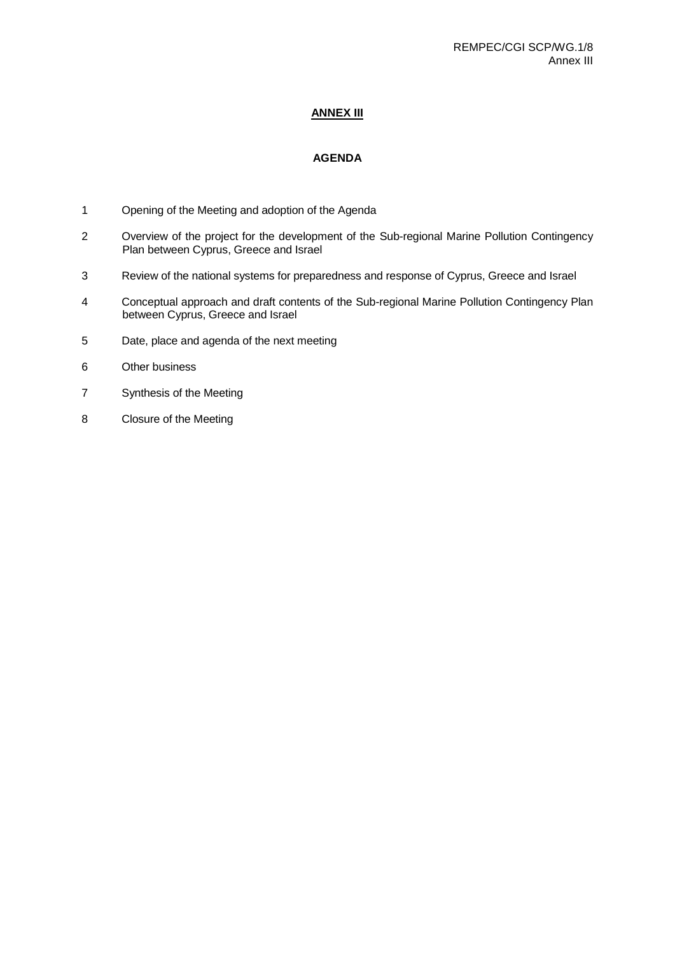## **ANNEX III**

# **AGENDA**

- 1 Opening of the Meeting and adoption of the Agenda
- 2 Overview of the project for the development of the Sub-regional Marine Pollution Contingency Plan between Cyprus, Greece and Israel
- 3 Review of the national systems for preparedness and response of Cyprus, Greece and Israel
- 4 Conceptual approach and draft contents of the Sub-regional Marine Pollution Contingency Plan between Cyprus, Greece and Israel
- 5 Date, place and agenda of the next meeting
- 6 Other business
- 7 Synthesis of the Meeting
- 8 Closure of the Meeting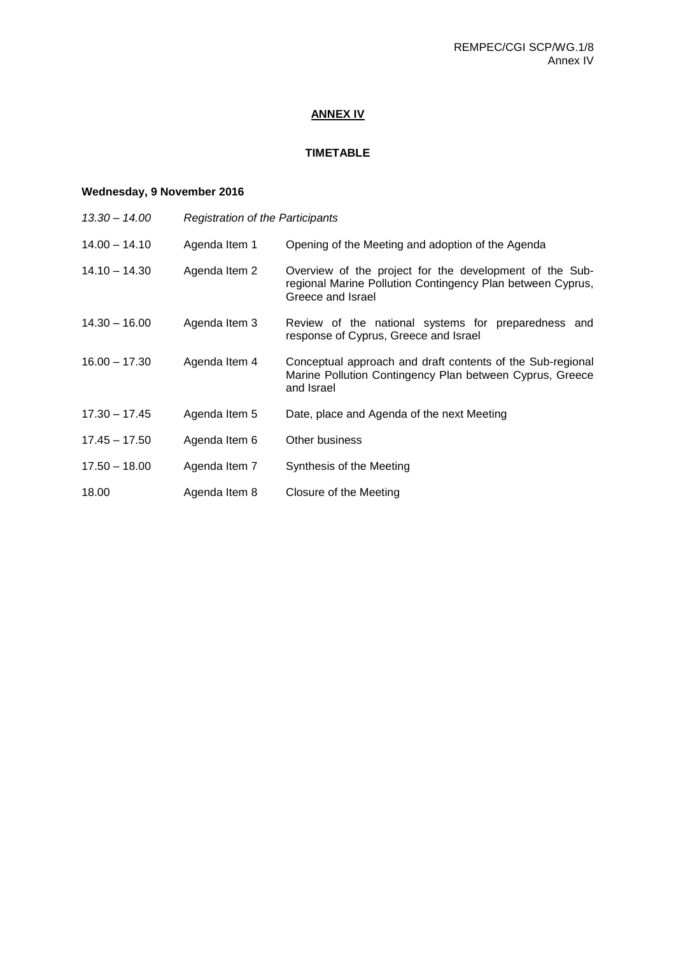# **ANNEX IV**

# **TIMETABLE**

# **Wednesday, 9 November 2016**

| 13.30 - 14.00   | <b>Registration of the Participants</b> |                                                                                                                                            |
|-----------------|-----------------------------------------|--------------------------------------------------------------------------------------------------------------------------------------------|
| 14.00 - 14.10   | Agenda Item 1                           | Opening of the Meeting and adoption of the Agenda                                                                                          |
| 14.10 – 14.30   | Agenda Item 2                           | Overview of the project for the development of the Sub-<br>regional Marine Pollution Contingency Plan between Cyprus,<br>Greece and Israel |
| $14.30 - 16.00$ | Agenda Item 3                           | Review of the national systems for preparedness and<br>response of Cyprus, Greece and Israel                                               |
| $16.00 - 17.30$ | Agenda Item 4                           | Conceptual approach and draft contents of the Sub-regional<br>Marine Pollution Contingency Plan between Cyprus, Greece<br>and Israel       |
| 17.30 - 17.45   | Agenda Item 5                           | Date, place and Agenda of the next Meeting                                                                                                 |
| 17.45 – 17.50   | Agenda Item 6                           | Other business                                                                                                                             |
| $17.50 - 18.00$ | Agenda Item 7                           | Synthesis of the Meeting                                                                                                                   |
| 18.00           | Agenda Item 8                           | Closure of the Meeting                                                                                                                     |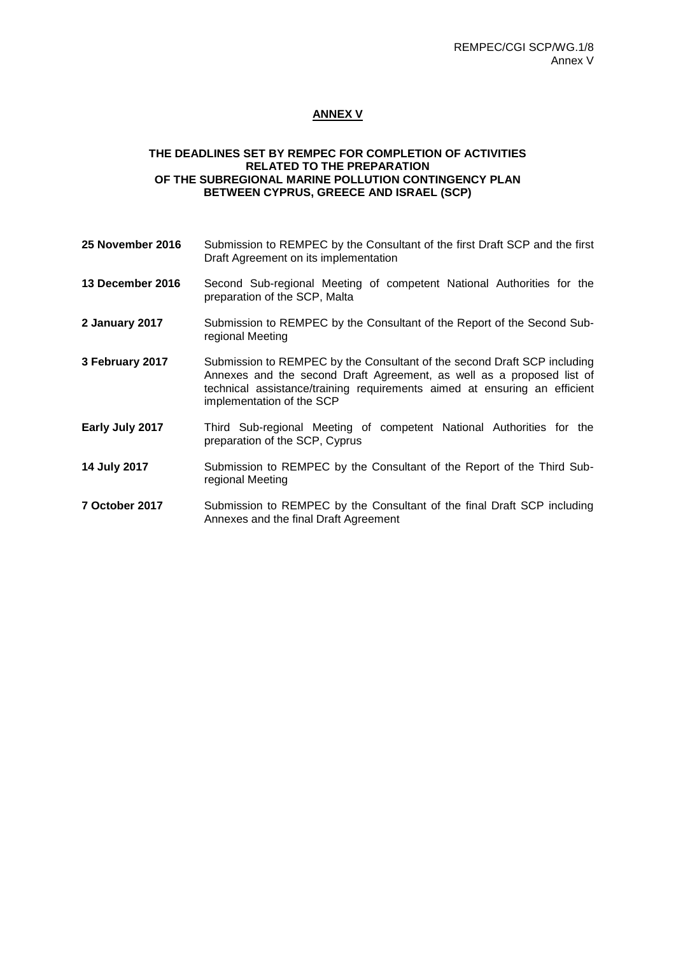## **ANNEX V**

## **THE DEADLINES SET BY REMPEC FOR COMPLETION OF ACTIVITIES RELATED TO THE PREPARATION OF THE SUBREGIONAL MARINE POLLUTION CONTINGENCY PLAN BETWEEN CYPRUS, GREECE AND ISRAEL (SCP)**

- **25 November 2016** Submission to REMPEC by the Consultant of the first Draft SCP and the first Draft Agreement on its implementation
- **13 December 2016** Second Sub-regional Meeting of competent National Authorities for the preparation of the SCP, Malta
- **2 January 2017** Submission to REMPEC by the Consultant of the Report of the Second Subregional Meeting
- **3 February 2017** Submission to REMPEC by the Consultant of the second Draft SCP including Annexes and the second Draft Agreement, as well as a proposed list of technical assistance/training requirements aimed at ensuring an efficient implementation of the SCP
- **Early July 2017** Third Sub-regional Meeting of competent National Authorities for the preparation of the SCP, Cyprus
- **14 July 2017** Submission to REMPEC by the Consultant of the Report of the Third Subregional Meeting
- **7 October 2017** Submission to REMPEC by the Consultant of the final Draft SCP including Annexes and the final Draft Agreement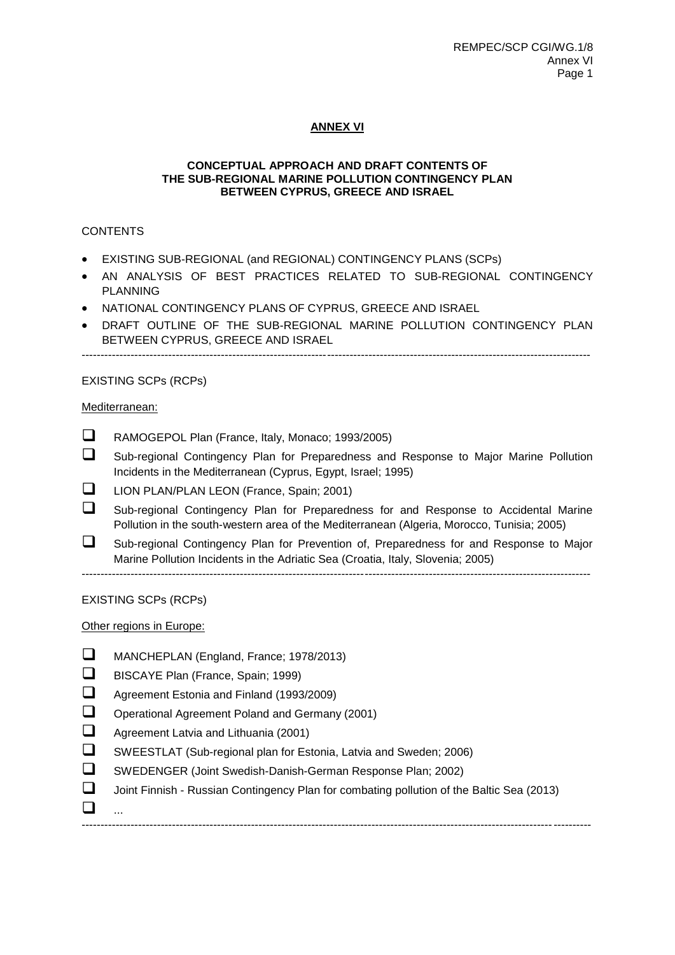# **ANNEX VI**

### **CONCEPTUAL APPROACH AND DRAFT CONTENTS OF THE SUB-REGIONAL MARINE POLLUTION CONTINGENCY PLAN BETWEEN CYPRUS, GREECE AND ISRAEL**

## **CONTENTS**

- EXISTING SUB-REGIONAL (and REGIONAL) CONTINGENCY PLANS (SCPs)
- AN ANALYSIS OF BEST PRACTICES RELATED TO SUB-REGIONAL CONTINGENCY PLANNING
- . NATIONAL CONTINGENCY PLANS OF CYPRUS, GREECE AND ISRAEL
- DRAFT OUTLINE OF THE SUB-REGIONAL MARINE POLLUTION CONTINGENCY PLAN BETWEEN CYPRUS, GREECE AND ISRAEL

---------------------------------------------------------------------------------------------------------------------------------------

## EXISTING SCPs (RCPs)

## Mediterranean:

- RAMOGEPOL Plan (France, Italy, Monaco; 1993/2005)
- Sub-regional Contingency Plan for Preparedness and Response to Major Marine Pollution Incidents in the Mediterranean (Cyprus, Egypt, Israel; 1995)
- **LION PLAN/PLAN LEON (France, Spain; 2001)**
- Sub-regional Contingency Plan for Preparedness for and Response to Accidental Marine Pollution in the south-western area of the Mediterranean (Algeria, Morocco, Tunisia; 2005)
- Sub-regional Contingency Plan for Prevention of, Preparedness for and Response to Major Marine Pollution Incidents in the Adriatic Sea (Croatia, Italy, Slovenia; 2005)

---------------------------------------------------------------------------------------------------------------------------------------

EXISTING SCPs (RCPs)

Other regions in Europe:

- MANCHEPLAN (England, France; 1978/2013)
- BISCAYE Plan (France, Spain; 1999)
- Agreement Estonia and Finland (1993/2009)
- Operational Agreement Poland and Germany (2001)
- Agreement Latvia and Lithuania (2001)
- SWEESTLAT (Sub-regional plan for Estonia, Latvia and Sweden; 2006)
- SWEDENGER (Joint Swedish-Danish-German Response Plan; 2002)
- Joint Finnish Russian Contingency Plan for combating pollution of the Baltic Sea (2013)

---------------------------------------------------------------------------------------------------------------------------------------

 $\Box$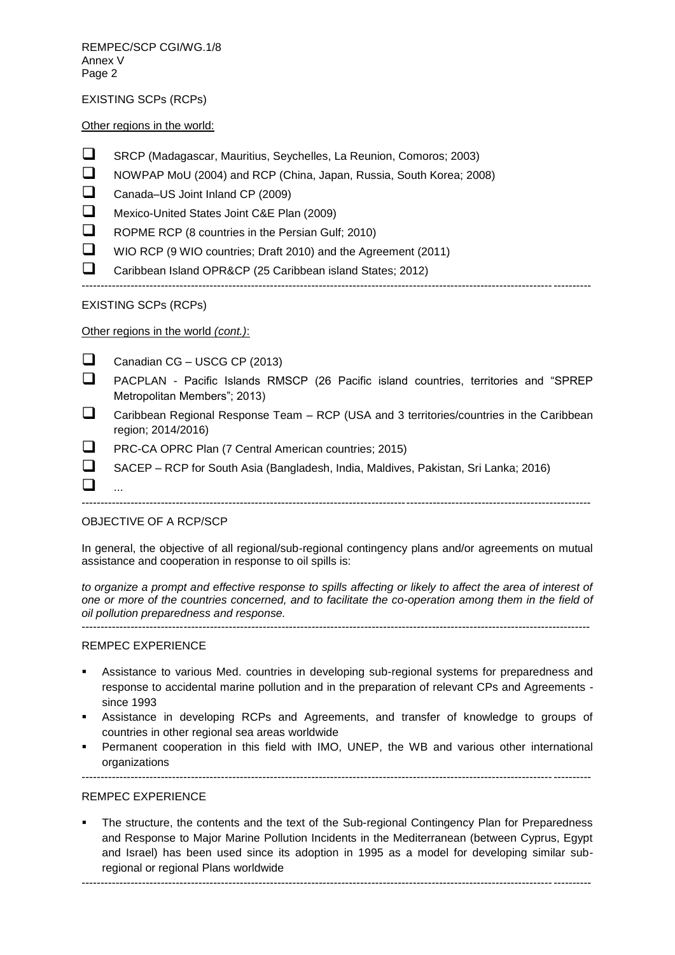REMPEC/SCP CGI/WG.1/8 Annex V Page 2

EXISTING SCPs (RCPs)

Other regions in the world:

- SRCP (Madagascar, Mauritius, Seychelles, La Reunion, Comoros; 2003)
- NOWPAP MoU (2004) and RCP (China, Japan, Russia, South Korea; 2008)
- □ Canada–US Joint Inland CP (2009)
- Mexico-United States Joint C&E Plan (2009)
- $\Box$  ROPME RCP (8 countries in the Persian Gulf; 2010)
- WIO RCP (9 WIO countries; Draft 2010) and the Agreement (2011)
- Caribbean Island OPR&CP (25 Caribbean island States; 2012)

---------------------------------------------------------------------------------------------------------------------------------------

## EXISTING SCPs (RCPs)

Other regions in the world *(cont.)*:

Canadian CG – USCG CP  $(2013)$ 

- PACPLAN Pacific Islands RMSCP (26 Pacific island countries, territories and "SPREP Metropolitan Members"; 2013)
- $\Box$  Caribbean Regional Response Team RCP (USA and 3 territories/countries in the Caribbean region; 2014/2016)
- **PRC-CA OPRC Plan (7 Central American countries; 2015)**

---------------------------------------------------------------------------------------------------------------------------------------

SACEP – RCP for South Asia (Bangladesh, India, Maldives, Pakistan, Sri Lanka; 2016)

## OBJECTIVE OF A RCP/SCP

 $\Box$ 

In general, the objective of all regional/sub-regional contingency plans and/or agreements on mutual assistance and cooperation in response to oil spills is:

---------------------------------------------------------------------------------------------------------------------------------------

*to organize a prompt and effective response to spills affecting or likely to affect the area of interest of one or more of the countries concerned, and to facilitate the co-operation among them in the field of oil pollution preparedness and response.* ---------------------------------------------------------------------------------------------------------------------------------------

#### REMPEC EXPERIENCE

- Assistance to various Med. countries in developing sub-regional systems for preparedness and response to accidental marine pollution and in the preparation of relevant CPs and Agreements since 1993
- Assistance in developing RCPs and Agreements, and transfer of knowledge to groups of countries in other regional sea areas worldwide
- Permanent cooperation in this field with IMO, UNEP, the WB and various other international organizations

REMPEC EXPERIENCE

 The structure, the contents and the text of the Sub-regional Contingency Plan for Preparedness and Response to Major Marine Pollution Incidents in the Mediterranean (between Cyprus, Egypt and Israel) has been used since its adoption in 1995 as a model for developing similar subregional or regional Plans worldwide

---------------------------------------------------------------------------------------------------------------------------------------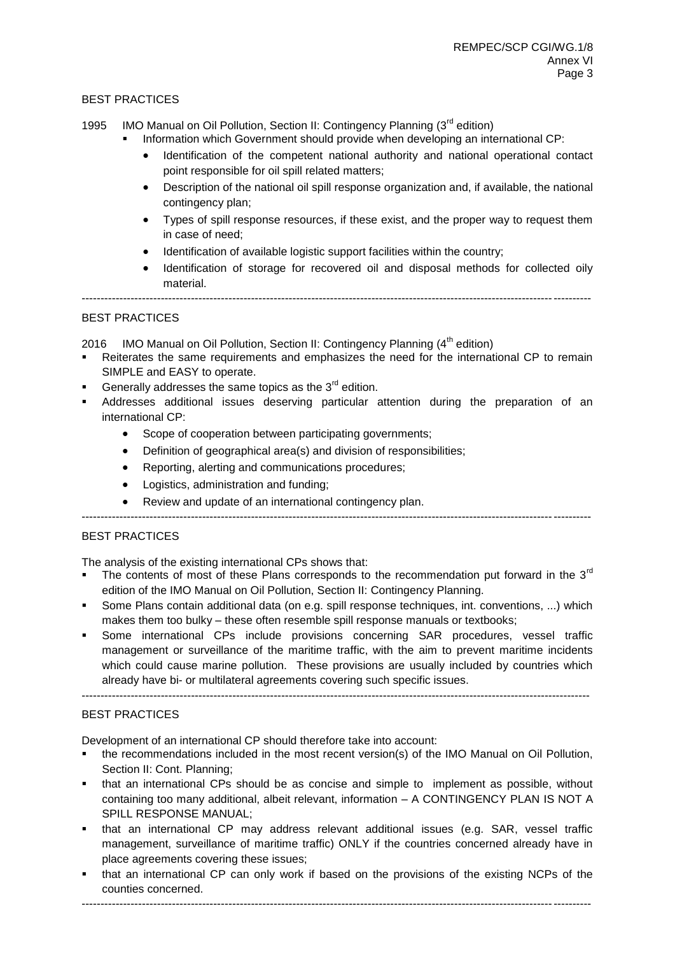## BEST PRACTICES

1995 IMO Manual on Oil Pollution, Section II: Contingency Planning (3<sup>rd</sup> edition)

- Information which Government should provide when developing an international CP:
	- Identification of the competent national authority and national operational contact point responsible for oil spill related matters;
	- Description of the national oil spill response organization and, if available, the national contingency plan;
	- Types of spill response resources, if these exist, and the proper way to request them in case of need;
	- Identification of available logistic support facilities within the country:
	- Identification of storage for recovered oil and disposal methods for collected oily material.

---------------------------------------------------------------------------------------------------------------------------------------

## BEST PRACTICES

2016 IMO Manual on Oil Pollution, Section II: Contingency Planning  $(4<sup>th</sup>$  edition)

- Reiterates the same requirements and emphasizes the need for the international CP to remain SIMPLE and EASY to operate.
- Generally addresses the same topics as the  $3<sup>rd</sup>$  edition.
- Addresses additional issues deserving particular attention during the preparation of an international CP:
	- Scope of cooperation between participating governments;
	- Definition of geographical area(s) and division of responsibilities;
	- Reporting, alerting and communications procedures;
	- Logistics, administration and funding;
	- Review and update of an international contingency plan.

---------------------------------------------------------------------------------------------------------------------------------------

#### BEST PRACTICES

The analysis of the existing international CPs shows that:

- The contents of most of these Plans corresponds to the recommendation put forward in the  $3<sup>rd</sup>$ edition of the IMO Manual on Oil Pollution, Section II: Contingency Planning.
- Some Plans contain additional data (on e.g. spill response techniques, int. conventions, ...) which makes them too bulky – these often resemble spill response manuals or textbooks;
- Some international CPs include provisions concerning SAR procedures, vessel traffic management or surveillance of the maritime traffic, with the aim to prevent maritime incidents which could cause marine pollution. These provisions are usually included by countries which already have bi- or multilateral agreements covering such specific issues.

---------------------------------------------------------------------------------------------------------------------------------------

## BEST PRACTICES

Development of an international CP should therefore take into account:

- the recommendations included in the most recent version(s) of the IMO Manual on Oil Pollution, Section II: Cont. Planning;
- that an international CPs should be as concise and simple to implement as possible, without containing too many additional, albeit relevant, information – A CONTINGENCY PLAN IS NOT A SPILL RESPONSE MANUAL;
- that an international CP may address relevant additional issues (e.g. SAR, vessel traffic management, surveillance of maritime traffic) ONLY if the countries concerned already have in place agreements covering these issues;
- that an international CP can only work if based on the provisions of the existing NCPs of the counties concerned.

---------------------------------------------------------------------------------------------------------------------------------------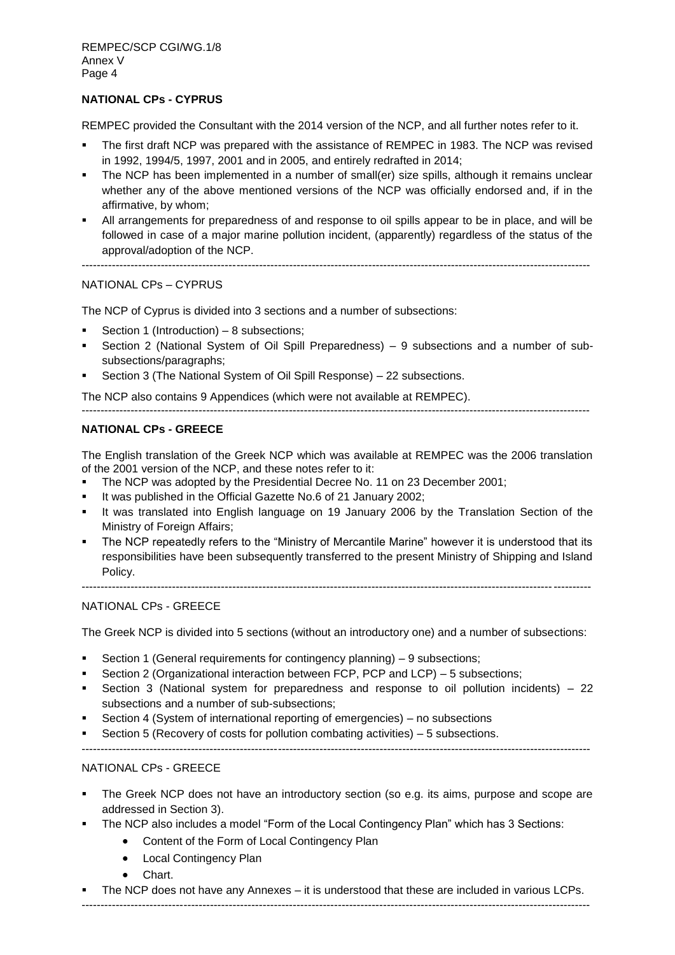## **NATIONAL CPs - CYPRUS**

REMPEC provided the Consultant with the 2014 version of the NCP, and all further notes refer to it.

- The first draft NCP was prepared with the assistance of REMPEC in 1983. The NCP was revised in 1992, 1994/5, 1997, 2001 and in 2005, and entirely redrafted in 2014;
- The NCP has been implemented in a number of small(er) size spills, although it remains unclear whether any of the above mentioned versions of the NCP was officially endorsed and, if in the affirmative, by whom;
- All arrangements for preparedness of and response to oil spills appear to be in place, and will be followed in case of a major marine pollution incident, (apparently) regardless of the status of the approval/adoption of the NCP.

---------------------------------------------------------------------------------------------------------------------------------------

# NATIONAL CPs – CYPRUS

The NCP of Cyprus is divided into 3 sections and a number of subsections:

- Section 1 (Introduction) 8 subsections;
- Section 2 (National System of Oil Spill Preparedness) 9 subsections and a number of subsubsections/paragraphs;
- Section 3 (The National System of Oil Spill Response) 22 subsections.

The NCP also contains 9 Appendices (which were not available at REMPEC).

## **NATIONAL CPs - GREECE**

The English translation of the Greek NCP which was available at REMPEC was the 2006 translation of the 2001 version of the NCP, and these notes refer to it:

---------------------------------------------------------------------------------------------------------------------------------------

- The NCP was adopted by the Presidential Decree No. 11 on 23 December 2001;
- It was published in the Official Gazette No.6 of 21 January 2002;
- It was translated into English language on 19 January 2006 by the Translation Section of the Ministry of Foreign Affairs;
- The NCP repeatedly refers to the "Ministry of Mercantile Marine" however it is understood that its responsibilities have been subsequently transferred to the present Ministry of Shipping and Island Policy.

---------------------------------------------------------------------------------------------------------------------------------------

### NATIONAL CPs - GREECE

The Greek NCP is divided into 5 sections (without an introductory one) and a number of subsections:

- Section 1 (General requirements for contingency planning) 9 subsections;
- Section 2 (Organizational interaction between FCP, PCP and LCP) 5 subsections;
- Section 3 (National system for preparedness and response to oil pollution incidents) 22 subsections and a number of sub-subsections;
- Section 4 (System of international reporting of emergencies) no subsections
- Section 5 (Recovery of costs for pollution combating activities) 5 subsections.
- ---------------------------------------------------------------------------------------------------------------------------------------

## NATIONAL CPs - GREECE

- The Greek NCP does not have an introductory section (so e.g. its aims, purpose and scope are addressed in Section 3).
- The NCP also includes a model "Form of the Local Contingency Plan" which has 3 Sections:
	- Content of the Form of Local Contingency Plan
	- Local Contingency Plan
	- Chart.
- The NCP does not have any Annexes it is understood that these are included in various LCPs.

---------------------------------------------------------------------------------------------------------------------------------------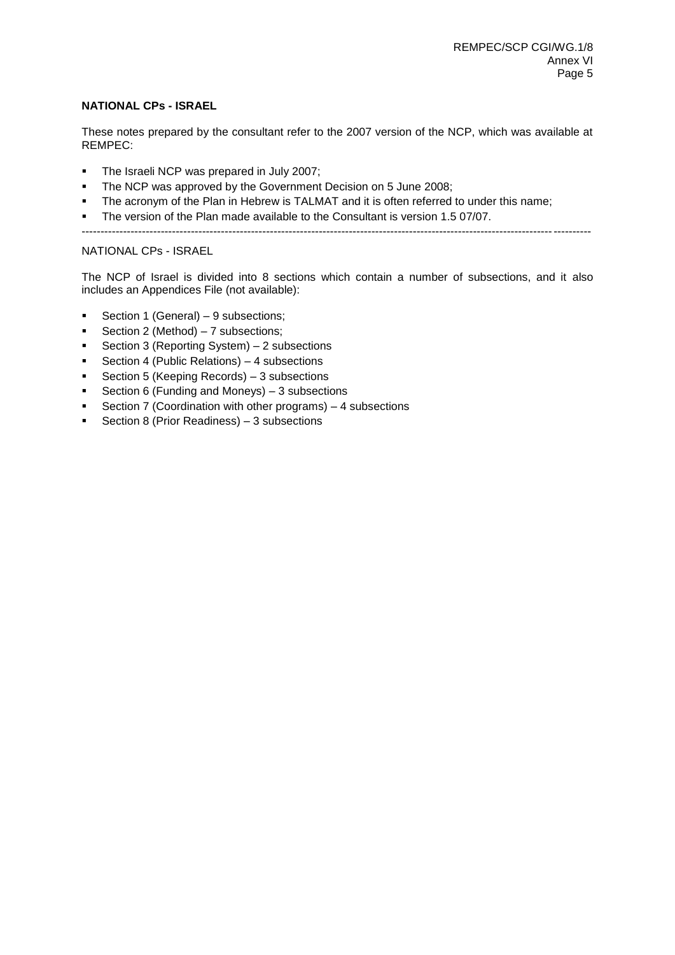## **NATIONAL CPs - ISRAEL**

These notes prepared by the consultant refer to the 2007 version of the NCP, which was available at REMPEC:

- The Israeli NCP was prepared in July 2007;
- **The NCP was approved by the Government Decision on 5 June 2008;**
- The acronym of the Plan in Hebrew is TALMAT and it is often referred to under this name;
- The version of the Plan made available to the Consultant is version 1.5 07/07.
- ---------------------------------------------------------------------------------------------------------------------------------------

## NATIONAL CPs - ISRAEL

The NCP of Israel is divided into 8 sections which contain a number of subsections, and it also includes an Appendices File (not available):

- Section 1 (General) 9 subsections;
- Section 2 (Method)  $-7$  subsections;
- Section 3 (Reporting System) 2 subsections
- Section 4 (Public Relations) 4 subsections
- Section 5 (Keeping Records) 3 subsections
- Section 6 (Funding and Moneys)  $-3$  subsections
- Section 7 (Coordination with other programs) 4 subsections
- Section 8 (Prior Readiness)  $-3$  subsections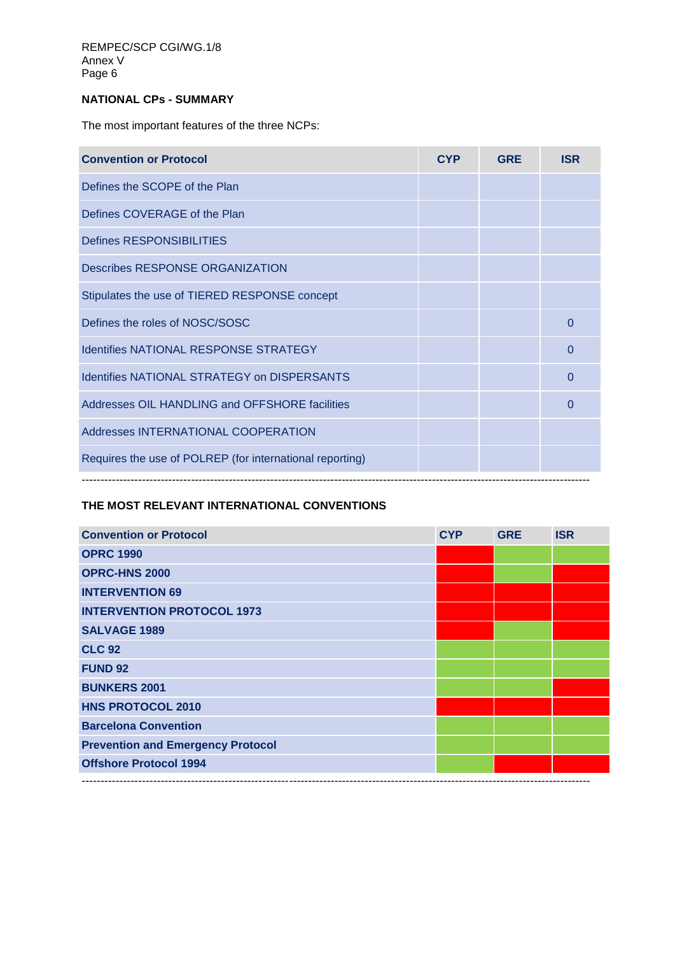# **NATIONAL CPs - SUMMARY**

The most important features of the three NCPs:

| <b>Convention or Protocol</b>                            | <b>CYP</b> | <b>GRE</b> | <b>ISR</b> |
|----------------------------------------------------------|------------|------------|------------|
| Defines the SCOPE of the Plan                            |            |            |            |
| Defines COVERAGE of the Plan                             |            |            |            |
| <b>Defines RESPONSIBILITIES</b>                          |            |            |            |
| Describes RESPONSE ORGANIZATION                          |            |            |            |
| Stipulates the use of TIERED RESPONSE concept            |            |            |            |
| Defines the roles of NOSC/SOSC                           |            |            | 0          |
| <b>Identifies NATIONAL RESPONSE STRATEGY</b>             |            |            | 0          |
| <b>Identifies NATIONAL STRATEGY on DISPERSANTS</b>       |            |            | 0          |
| Addresses OIL HANDLING and OFFSHORE facilities           |            |            | $\Omega$   |
| Addresses INTERNATIONAL COOPERATION                      |            |            |            |
| Requires the use of POLREP (for international reporting) |            |            |            |
|                                                          |            |            |            |

# **THE MOST RELEVANT INTERNATIONAL CONVENTIONS**

| <b>Convention or Protocol</b>            | <b>CYP</b> | <b>GRE</b> | <b>ISR</b> |
|------------------------------------------|------------|------------|------------|
| <b>OPRC 1990</b>                         |            |            |            |
| <b>OPRC-HNS 2000</b>                     |            |            |            |
| <b>INTERVENTION 69</b>                   |            |            |            |
| <b>INTERVENTION PROTOCOL 1973</b>        |            |            |            |
| <b>SALVAGE 1989</b>                      |            |            |            |
| <b>CLC 92</b>                            |            |            |            |
| <b>FUND 92</b>                           |            |            |            |
| <b>BUNKERS 2001</b>                      |            |            |            |
| <b>HNS PROTOCOL 2010</b>                 |            |            |            |
| <b>Barcelona Convention</b>              |            |            |            |
| <b>Prevention and Emergency Protocol</b> |            |            |            |
| <b>Offshore Protocol 1994</b>            |            |            |            |
|                                          |            |            |            |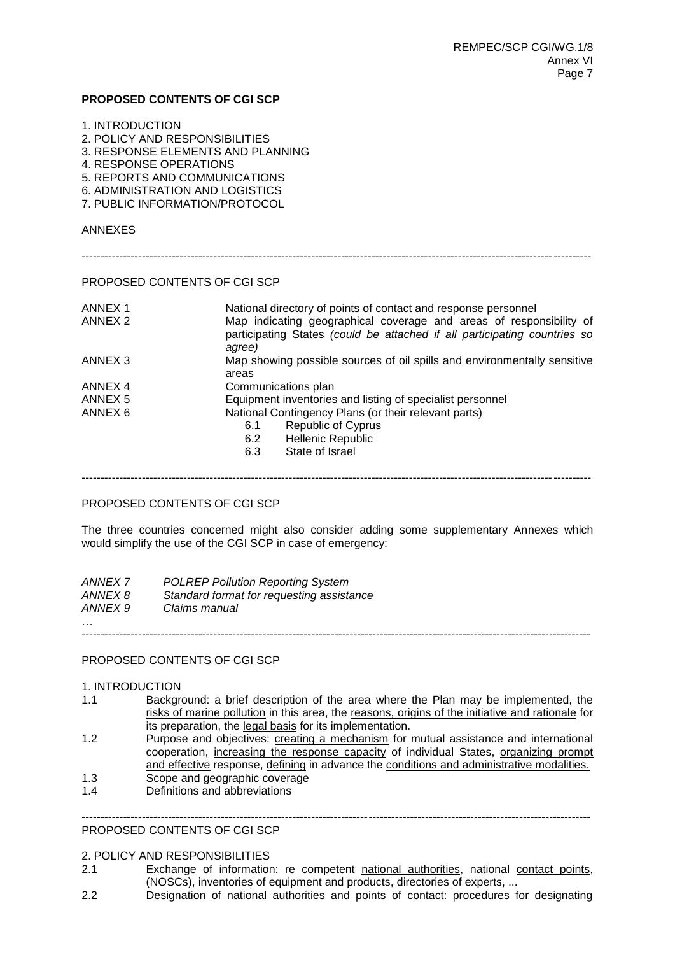#### **PROPOSED CONTENTS OF CGI SCP**

| 1. INTRODUCTION |  |
|-----------------|--|
|-----------------|--|

- 2. POLICY AND RESPONSIBILITIES
- 3. RESPONSE ELEMENTS AND PLANNING
- 4. RESPONSE OPERATIONS
- 5. REPORTS AND COMMUNICATIONS
- 6. ADMINISTRATION AND LOGISTICS
- 7. PUBLIC INFORMATION/PROTOCOL

### ANNEXES

## PROPOSED CONTENTS OF CGI SCP

| Map indicating geographical coverage and areas of responsibility of       |
|---------------------------------------------------------------------------|
| participating States (could be attached if all participating countries so |
| Map showing possible sources of oil spills and environmentally sensitive  |
|                                                                           |
|                                                                           |
|                                                                           |
|                                                                           |
|                                                                           |
|                                                                           |
|                                                                           |
|                                                                           |

---------------------------------------------------------------------------------------------------------------------------------------

## PROPOSED CONTENTS OF CGI SCP

The three countries concerned might also consider adding some supplementary Annexes which would simplify the use of the CGI SCP in case of emergency:

| ANNEX 7  | <b>POLREP Pollution Reporting System</b>  |
|----------|-------------------------------------------|
| ANNEX 8  | Standard format for requesting assistance |
| ANNEX 9  | Claims manual                             |
| $\cdots$ |                                           |

---------------------------------------------------------------------------------------------------------------------------------------

#### PROPOSED CONTENTS OF CGI SCP

#### 1. INTRODUCTION

- 1.1 Background: a brief description of the area where the Plan may be implemented, the risks of marine pollution in this area, the reasons, origins of the initiative and rationale for its preparation, the legal basis for its implementation.
- 1.2 Purpose and objectives: creating a mechanism for mutual assistance and international cooperation, increasing the response capacity of individual States, organizing prompt and effective response, defining in advance the conditions and administrative modalities.

---------------------------------------------------------------------------------------------------------------------------------------

- 1.3 Scope and geographic coverage
- 1.4 Definitions and abbreviations

# PROPOSED CONTENTS OF CGI SCP

#### 2. POLICY AND RESPONSIBILITIES

- 2.1 Exchange of information: re competent national authorities, national contact points, (NOSCs), inventories of equipment and products, directories of experts, ...
- 2.2 Designation of national authorities and points of contact: procedures for designating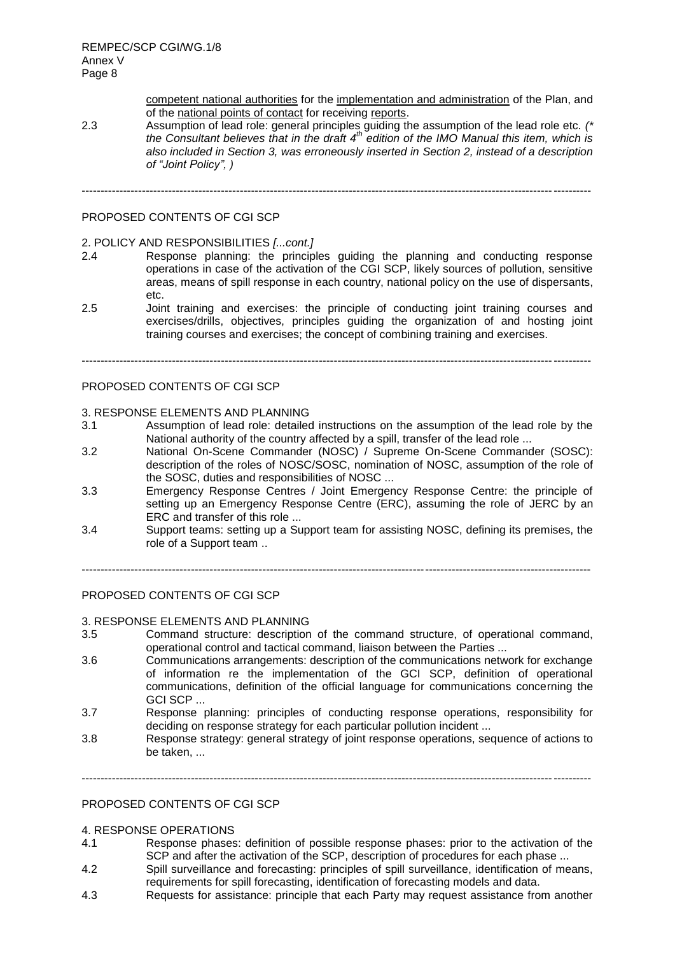REMPEC/SCP CGI/WG.1/8 Annex V Page 8

> competent national authorities for the implementation and administration of the Plan, and of the national points of contact for receiving reports.

2.3 Assumption of lead role: general principles guiding the assumption of the lead role etc. *(\* the Consultant believes that in the draft 4th edition of the IMO Manual this item, which is also included in Section 3, was erroneously inserted in Section 2, instead of a description of "Joint Policy", )*

# ---------------------------------------------------------------------------------------------------------------------------------------

## PROPOSED CONTENTS OF CGI SCP

## 2. POLICY AND RESPONSIBILITIES *[...cont.]*

- 2.4 Response planning: the principles guiding the planning and conducting response operations in case of the activation of the CGI SCP, likely sources of pollution, sensitive areas, means of spill response in each country, national policy on the use of dispersants, etc.
- 2.5 Joint training and exercises: the principle of conducting joint training courses and exercises/drills, objectives, principles guiding the organization of and hosting joint training courses and exercises; the concept of combining training and exercises.

---------------------------------------------------------------------------------------------------------------------------------------

#### PROPOSED CONTENTS OF CGI SCP

#### 3. RESPONSE ELEMENTS AND PLANNING

- 3.1 Assumption of lead role: detailed instructions on the assumption of the lead role by the National authority of the country affected by a spill, transfer of the lead role ...
- 3.2 National On-Scene Commander (NOSC) / Supreme On-Scene Commander (SOSC): description of the roles of NOSC/SOSC, nomination of NOSC, assumption of the role of the SOSC, duties and responsibilities of NOSC ...
- 3.3 Emergency Response Centres / Joint Emergency Response Centre: the principle of setting up an Emergency Response Centre (ERC), assuming the role of JERC by an ERC and transfer of this role ...
- 3.4 Support teams: setting up a Support team for assisting NOSC, defining its premises, the role of a Support team ..

---------------------------------------------------------------------------------------------------------------------------------------

#### PROPOSED CONTENTS OF CGI SCP

#### 3. RESPONSE ELEMENTS AND PLANNING

- 3.5 Command structure: description of the command structure, of operational command, operational control and tactical command, liaison between the Parties ...
- 3.6 Communications arrangements: description of the communications network for exchange of information re the implementation of the GCI SCP, definition of operational communications, definition of the official language for communications concerning the GCI SCP ...
- 3.7 Response planning: principles of conducting response operations, responsibility for deciding on response strategy for each particular pollution incident ...
- 3.8 Response strategy: general strategy of joint response operations, sequence of actions to be taken, ...

---------------------------------------------------------------------------------------------------------------------------------------

## PROPOSED CONTENTS OF CGI SCP

#### 4. RESPONSE OPERATIONS

- 4.1 Response phases: definition of possible response phases: prior to the activation of the SCP and after the activation of the SCP, description of procedures for each phase ...
- 4.2 Spill surveillance and forecasting: principles of spill surveillance, identification of means, requirements for spill forecasting, identification of forecasting models and data.
- 4.3 Requests for assistance: principle that each Party may request assistance from another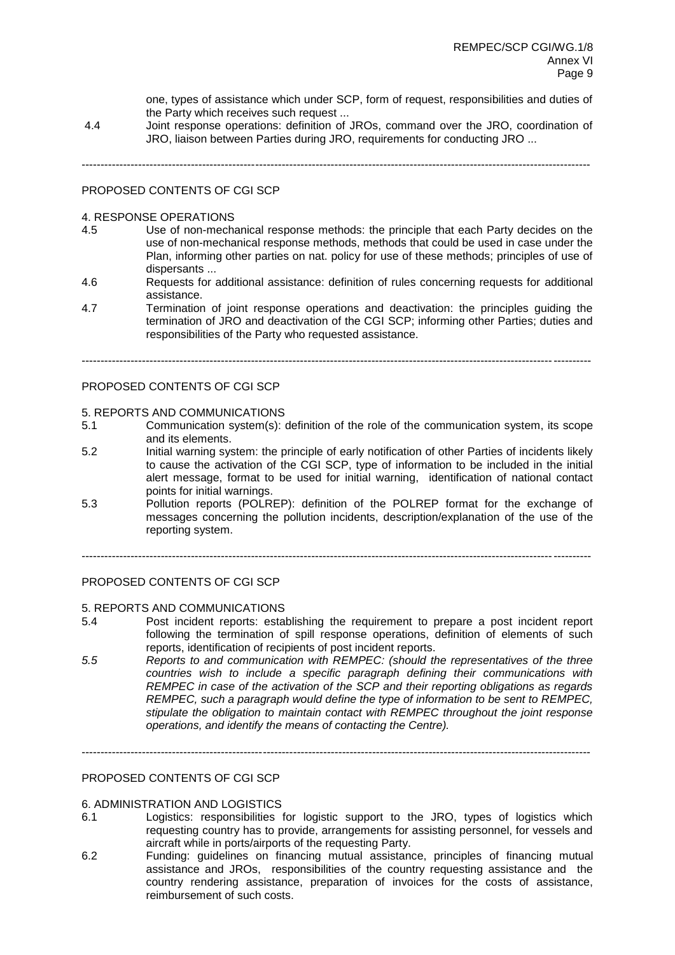one, types of assistance which under SCP, form of request, responsibilities and duties of the Party which receives such request ...

4.4 Joint response operations: definition of JROs, command over the JRO, coordination of JRO, liaison between Parties during JRO, requirements for conducting JRO ...

---------------------------------------------------------------------------------------------------------------------------------------

## PROPOSED CONTENTS OF CGI SCP

#### 4. RESPONSE OPERATIONS

- 4.5 Use of non-mechanical response methods: the principle that each Party decides on the use of non-mechanical response methods, methods that could be used in case under the Plan, informing other parties on nat. policy for use of these methods; principles of use of dispersants ...
- 4.6 Requests for additional assistance: definition of rules concerning requests for additional assistance.
- 4.7 Termination of joint response operations and deactivation: the principles guiding the termination of JRO and deactivation of the CGI SCP; informing other Parties; duties and responsibilities of the Party who requested assistance.

---------------------------------------------------------------------------------------------------------------------------------------

#### PROPOSED CONTENTS OF CGI SCP

#### 5. REPORTS AND COMMUNICATIONS

- 5.1 Communication system(s): definition of the role of the communication system, its scope and its elements.
- 5.2 Initial warning system: the principle of early notification of other Parties of incidents likely to cause the activation of the CGI SCP, type of information to be included in the initial alert message, format to be used for initial warning, identification of national contact points for initial warnings.
- 5.3 Pollution reports (POLREP): definition of the POLREP format for the exchange of messages concerning the pollution incidents, description/explanation of the use of the reporting system.

---------------------------------------------------------------------------------------------------------------------------------------

#### PROPOSED CONTENTS OF CGI SCP

#### 5. REPORTS AND COMMUNICATIONS

- 5.4 Post incident reports: establishing the requirement to prepare a post incident report following the termination of spill response operations, definition of elements of such reports, identification of recipients of post incident reports.
- *5.5 Reports to and communication with REMPEC: (should the representatives of the three countries wish to include a specific paragraph defining their communications with REMPEC in case of the activation of the SCP and their reporting obligations as regards REMPEC, such a paragraph would define the type of information to be sent to REMPEC, stipulate the obligation to maintain contact with REMPEC throughout the joint response operations, and identify the means of contacting the Centre).*

---------------------------------------------------------------------------------------------------------------------------------------

## PROPOSED CONTENTS OF CGI SCP

#### 6. ADMINISTRATION AND LOGISTICS

- 6.1 Logistics: responsibilities for logistic support to the JRO, types of logistics which requesting country has to provide, arrangements for assisting personnel, for vessels and aircraft while in ports/airports of the requesting Party.
- 6.2 Funding: guidelines on financing mutual assistance, principles of financing mutual assistance and JROs, responsibilities of the country requesting assistance and the country rendering assistance, preparation of invoices for the costs of assistance, reimbursement of such costs.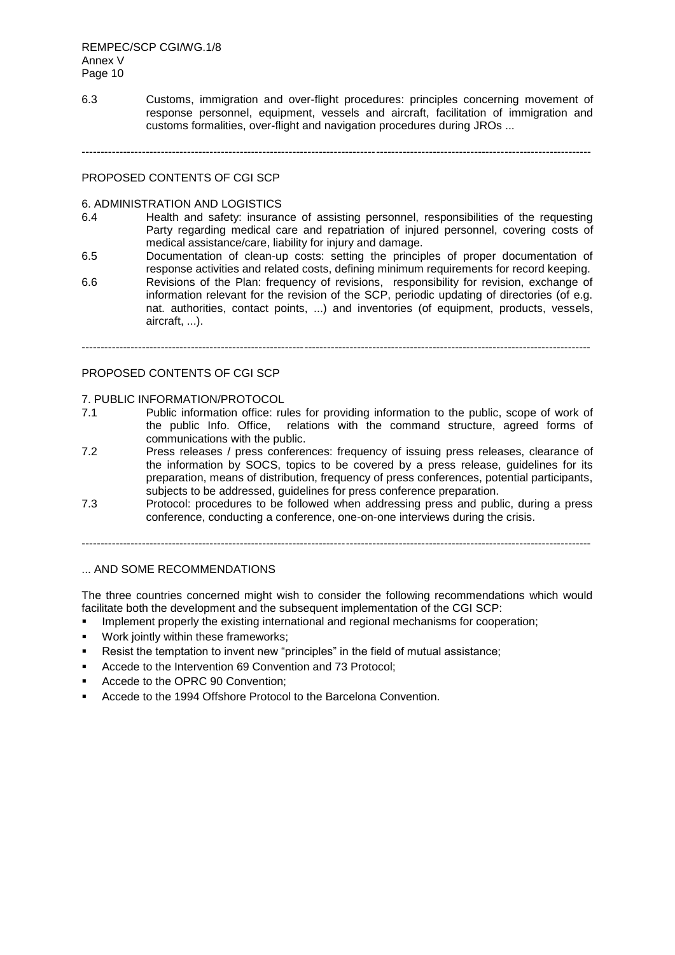6.3 Customs, immigration and over-flight procedures: principles concerning movement of response personnel, equipment, vessels and aircraft, facilitation of immigration and customs formalities, over-flight and navigation procedures during JROs ...

---------------------------------------------------------------------------------------------------------------------------------------

#### PROPOSED CONTENTS OF CGI SCP

#### 6. ADMINISTRATION AND LOGISTICS

- 6.4 Health and safety: insurance of assisting personnel, responsibilities of the requesting Party regarding medical care and repatriation of injured personnel, covering costs of medical assistance/care, liability for injury and damage.
- 6.5 Documentation of clean-up costs: setting the principles of proper documentation of response activities and related costs, defining minimum requirements for record keeping.
- 6.6 Revisions of the Plan: frequency of revisions, responsibility for revision, exchange of information relevant for the revision of the SCP, periodic updating of directories (of e.g. nat. authorities, contact points, ...) and inventories (of equipment, products, vessels, aircraft, ...).

 $-1.1$ 

#### PROPOSED CONTENTS OF CGI SCP

#### 7. PUBLIC INFORMATION/PROTOCOL

- 7.1 Public information office: rules for providing information to the public, scope of work of the public Info. Office, relations with the command structure, agreed forms of communications with the public.
- 7.2 Press releases / press conferences: frequency of issuing press releases, clearance of the information by SOCS, topics to be covered by a press release, guidelines for its preparation, means of distribution, frequency of press conferences, potential participants, subjects to be addressed, guidelines for press conference preparation.
- 7.3 Protocol: procedures to be followed when addressing press and public, during a press conference, conducting a conference, one-on-one interviews during the crisis.

---------------------------------------------------------------------------------------------------------------------------------------

### ... AND SOME RECOMMENDATIONS

The three countries concerned might wish to consider the following recommendations which would facilitate both the development and the subsequent implementation of the CGI SCP:

- Implement properly the existing international and regional mechanisms for cooperation;
- Work jointly within these frameworks;
- Resist the temptation to invent new "principles" in the field of mutual assistance;
- Accede to the Intervention 69 Convention and 73 Protocol;
- Accede to the OPRC 90 Convention;
- Accede to the 1994 Offshore Protocol to the Barcelona Convention.